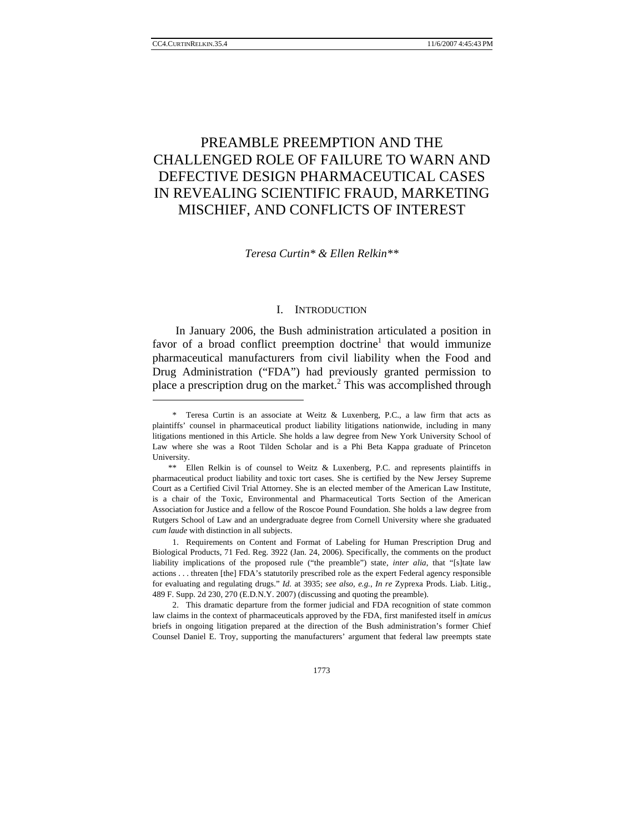# PREAMBLE PREEMPTION AND THE CHALLENGED ROLE OF FAILURE TO WARN AND DEFECTIVE DESIGN PHARMACEUTICAL CASES IN REVEALING SCIENTIFIC FRAUD, MARKETING MISCHIEF, AND CONFLICTS OF INTEREST

*Teresa Curtin\* & Ellen Relkin\*\** 

# I. INTRODUCTION

In January 2006, the Bush administration articulated a position in favor of a broad conflict preemption doctrine<sup>1</sup> that would immunize pharmaceutical manufacturers from civil liability when the Food and Drug Administration ("FDA") had previously granted permission to place a prescription drug on the market.<sup>2</sup> This was accomplished through

 <sup>\*</sup> Teresa Curtin is an associate at Weitz & Luxenberg, P.C., a law firm that acts as plaintiffs' counsel in pharmaceutical product liability litigations nationwide, including in many litigations mentioned in this Article. She holds a law degree from New York University School of Law where she was a Root Tilden Scholar and is a Phi Beta Kappa graduate of Princeton University.

 <sup>\*\*</sup> Ellen Relkin is of counsel to Weitz & Luxenberg, P.C. and represents plaintiffs in pharmaceutical product liability and toxic tort cases. She is certified by the New Jersey Supreme Court as a Certified Civil Trial Attorney. She is an elected member of the American Law Institute, is a chair of the Toxic, Environmental and Pharmaceutical Torts Section of the American Association for Justice and a fellow of the Roscoe Pound Foundation. She holds a law degree from Rutgers School of Law and an undergraduate degree from Cornell University where she graduated *cum laude* with distinction in all subjects.

 <sup>1.</sup> Requirements on Content and Format of Labeling for Human Prescription Drug and Biological Products, 71 Fed. Reg. 3922 (Jan. 24, 2006). Specifically, the comments on the product liability implications of the proposed rule ("the preamble") state, *inter alia*, that "[s]tate law actions . . . threaten [the] FDA's statutorily prescribed role as the expert Federal agency responsible for evaluating and regulating drugs." *Id.* at 3935; *see also, e.g.*, *In re* Zyprexa Prods. Liab. Litig., 489 F. Supp. 2d 230, 270 (E.D.N.Y. 2007) (discussing and quoting the preamble).

 <sup>2.</sup> This dramatic departure from the former judicial and FDA recognition of state common law claims in the context of pharmaceuticals approved by the FDA, first manifested itself in *amicus*  briefs in ongoing litigation prepared at the direction of the Bush administration's former Chief Counsel Daniel E. Troy, supporting the manufacturers' argument that federal law preempts state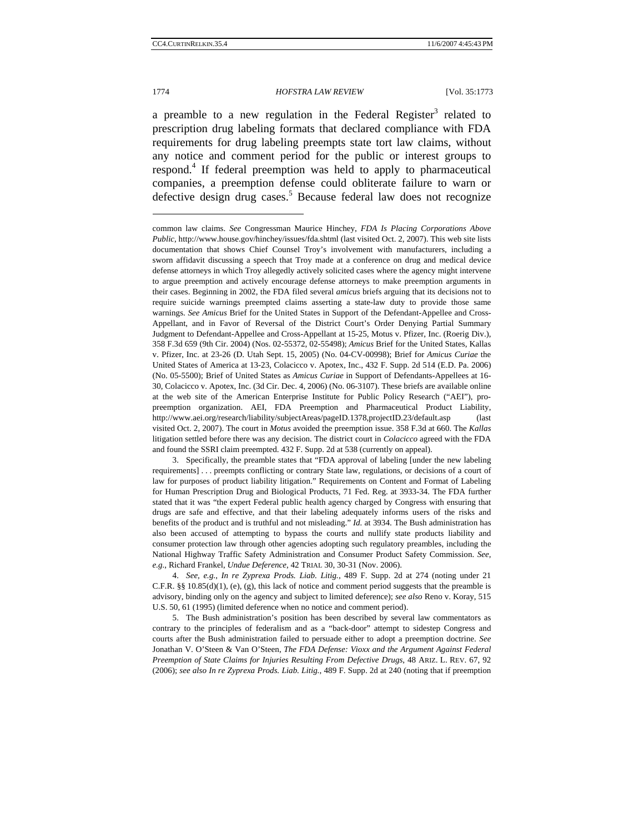### 1774 *HOFSTRA LAW REVIEW* [Vol. 35:1773

a preamble to a new regulation in the Federal Register<sup>3</sup> related to prescription drug labeling formats that declared compliance with FDA requirements for drug labeling preempts state tort law claims, without any notice and comment period for the public or interest groups to respond.4 If federal preemption was held to apply to pharmaceutical companies, a preemption defense could obliterate failure to warn or defective design drug cases.<sup>5</sup> Because federal law does not recognize

common law claims. *See* Congressman Maurice Hinchey, *FDA Is Placing Corporations Above Public*, http://www.house.gov/hinchey/issues/fda.shtml (last visited Oct. 2, 2007). This web site lists documentation that shows Chief Counsel Troy's involvement with manufacturers, including a sworn affidavit discussing a speech that Troy made at a conference on drug and medical device defense attorneys in which Troy allegedly actively solicited cases where the agency might intervene to argue preemption and actively encourage defense attorneys to make preemption arguments in their cases. Beginning in 2002, the FDA filed several *amicus* briefs arguing that its decisions not to require suicide warnings preempted claims asserting a state-law duty to provide those same warnings. *See Amicus* Brief for the United States in Support of the Defendant-Appellee and Cross-Appellant, and in Favor of Reversal of the District Court's Order Denying Partial Summary Judgment to Defendant-Appellee and Cross-Appellant at 15-25, Motus v. Pfizer, Inc. (Roerig Div.), 358 F.3d 659 (9th Cir. 2004) (Nos. 02-55372, 02-55498); *Amicus* Brief for the United States, Kallas v. Pfizer, Inc. at 23-26 (D. Utah Sept. 15, 2005) (No. 04-CV-00998); Brief for *Amicus Curiae* the United States of America at 13-23, Colacicco v. Apotex, Inc., 432 F. Supp. 2d 514 (E.D. Pa. 2006) (No. 05-5500); Brief of United States as *Amicus Curiae* in Support of Defendants-Appellees at 16- 30, Colacicco v. Apotex, Inc. (3d Cir. Dec. 4, 2006) (No. 06-3107). These briefs are available online at the web site of the American Enterprise Institute for Public Policy Research ("AEI"), propreemption organization. AEI, FDA Preemption and Pharmaceutical Product Liability, http://www.aei.org/research/liability/subjectAreas/pageID.1378,projectID.23/default.asp (last visited Oct. 2, 2007). The court in *Motus* avoided the preemption issue. 358 F.3d at 660. The *Kallas*  litigation settled before there was any decision. The district court in *Colacicco* agreed with the FDA and found the SSRI claim preempted. 432 F. Supp. 2d at 538 (currently on appeal).

 <sup>3.</sup> Specifically, the preamble states that "FDA approval of labeling [under the new labeling requirements] . . . preempts conflicting or contrary State law, regulations, or decisions of a court of law for purposes of product liability litigation." Requirements on Content and Format of Labeling for Human Prescription Drug and Biological Products, 71 Fed. Reg. at 3933-34. The FDA further stated that it was "the expert Federal public health agency charged by Congress with ensuring that drugs are safe and effective, and that their labeling adequately informs users of the risks and benefits of the product and is truthful and not misleading." *Id.* at 3934. The Bush administration has also been accused of attempting to bypass the courts and nullify state products liability and consumer protection law through other agencies adopting such regulatory preambles, including the National Highway Traffic Safety Administration and Consumer Product Safety Commission. *See, e.g.*, Richard Frankel, *Undue Deference*, 42 TRIAL 30, 30-31 (Nov. 2006).

<sup>4.</sup> *See, e.g.*, *In re Zyprexa Prods. Liab. Litig.*, 489 F. Supp. 2d at 274 (noting under 21 C.F.R.  $\S\S 10.85(d)(1)$ , (e), (g), this lack of notice and comment period suggests that the preamble is advisory, binding only on the agency and subject to limited deference); *see also* Reno v. Koray, 515 U.S. 50, 61 (1995) (limited deference when no notice and comment period).

 <sup>5.</sup> The Bush administration's position has been described by several law commentators as contrary to the principles of federalism and as a "back-door" attempt to sidestep Congress and courts after the Bush administration failed to persuade either to adopt a preemption doctrine. *See*  Jonathan V. O'Steen & Van O'Steen, *The FDA Defense: Vioxx and the Argument Against Federal Preemption of State Claims for Injuries Resulting From Defective Drugs*, 48 ARIZ. L. REV. 67, 92 (2006); *see also In re Zyprexa Prods. Liab. Litig.*, 489 F. Supp. 2d at 240 (noting that if preemption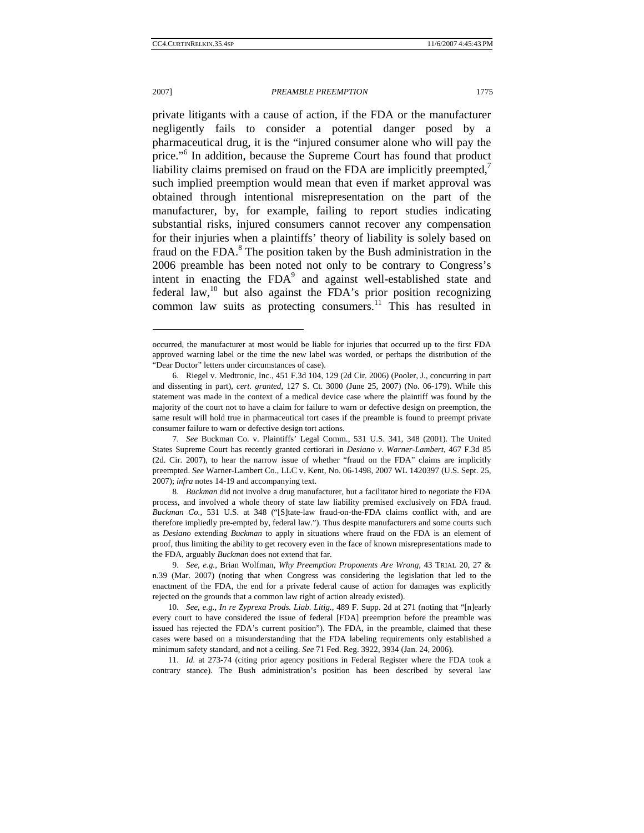#### 2007] *PREAMBLE PREEMPTION* 1775

private litigants with a cause of action, if the FDA or the manufacturer negligently fails to consider a potential danger posed by a pharmaceutical drug, it is the "injured consumer alone who will pay the price."<sup>6</sup> In addition, because the Supreme Court has found that product liability claims premised on fraud on the FDA are implicitly preempted, $^7$ such implied preemption would mean that even if market approval was obtained through intentional misrepresentation on the part of the manufacturer, by, for example, failing to report studies indicating substantial risks, injured consumers cannot recover any compensation for their injuries when a plaintiffs' theory of liability is solely based on fraud on the FDA.<sup>8</sup> The position taken by the Bush administration in the 2006 preamble has been noted not only to be contrary to Congress's intent in enacting the FDA<sup>9</sup> and against well-established state and federal law, $10$  but also against the FDA's prior position recognizing

common law suits as protecting consumers.<sup>11</sup> This has resulted in

11. *Id.* at 273-74 (citing prior agency positions in Federal Register where the FDA took a contrary stance). The Bush administration's position has been described by several law

occurred, the manufacturer at most would be liable for injuries that occurred up to the first FDA approved warning label or the time the new label was worded, or perhaps the distribution of the "Dear Doctor" letters under circumstances of case).

<sup>6.</sup> Riegel v. Medtronic, Inc., 451 F.3d 104, 129 (2d Cir. 2006) (Pooler, J., concurring in part and dissenting in part), *cert. granted*, 127 S. Ct. 3000 (June 25, 2007) (No. 06-179). While this statement was made in the context of a medical device case where the plaintiff was found by the majority of the court not to have a claim for failure to warn or defective design on preemption, the same result will hold true in pharmaceutical tort cases if the preamble is found to preempt private consumer failure to warn or defective design tort actions.

<sup>7.</sup> *See* Buckman Co. v. Plaintiffs' Legal Comm., 531 U.S. 341, 348 (2001). The United States Supreme Court has recently granted certiorari in *Desiano v. Warner-Lambert*, 467 F.3d 85 (2d. Cir. 2007), to hear the narrow issue of whether "fraud on the FDA" claims are implicitly preempted. *See* Warner-Lambert Co., LLC v. Kent, No. 06-1498, 2007 WL 1420397 (U.S. Sept. 25, 2007); *infra* notes 14-19 and accompanying text.

<sup>8.</sup> *Buckman* did not involve a drug manufacturer, but a facilitator hired to negotiate the FDA process, and involved a whole theory of state law liability premised exclusively on FDA fraud. *Buckman Co.*, 531 U.S. at 348 ("[S]tate-law fraud-on-the-FDA claims conflict with, and are therefore impliedly pre-empted by, federal law."). Thus despite manufacturers and some courts such as *Desiano* extending *Buckman* to apply in situations where fraud on the FDA is an element of proof, thus limiting the ability to get recovery even in the face of known misrepresentations made to the FDA, arguably *Buckman* does not extend that far.

<sup>9.</sup> *See, e.g.*, Brian Wolfman, *Why Preemption Proponents Are Wrong*, 43 TRIAL 20, 27 & n.39 (Mar. 2007) (noting that when Congress was considering the legislation that led to the enactment of the FDA, the end for a private federal cause of action for damages was explicitly rejected on the grounds that a common law right of action already existed).

 <sup>10.</sup> *See, e.g.*, *In re Zyprexa Prods. Liab. Litig.*, 489 F. Supp. 2d at 271 (noting that "[n]early every court to have considered the issue of federal [FDA] preemption before the preamble was issued has rejected the FDA's current position"). The FDA, in the preamble, claimed that these cases were based on a misunderstanding that the FDA labeling requirements only established a minimum safety standard, and not a ceiling. *See* 71 Fed. Reg. 3922, 3934 (Jan. 24, 2006).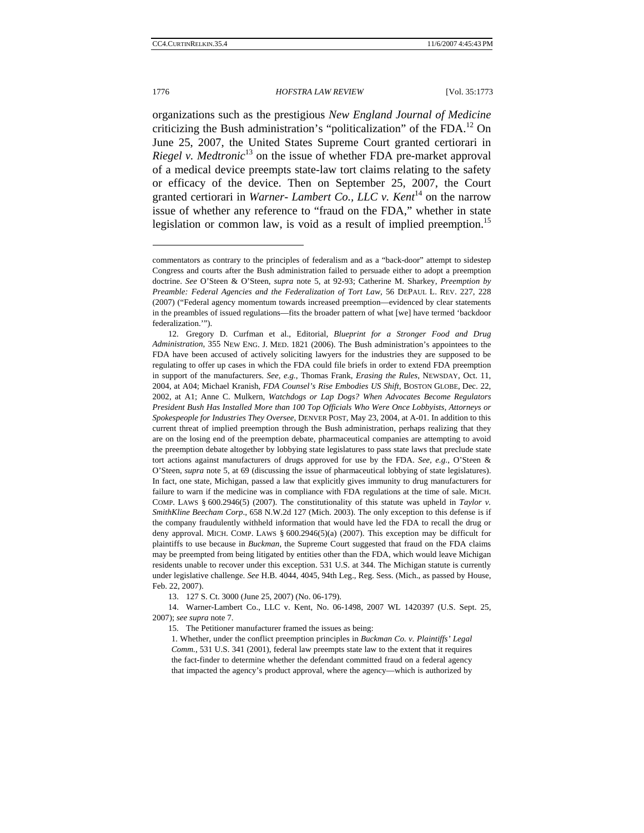#### 1776 *HOFSTRA LAW REVIEW* [Vol. 35:1773

organizations such as the prestigious *New England Journal of Medicine* criticizing the Bush administration's "politicalization" of the FDA.<sup>12</sup> On June 25, 2007, the United States Supreme Court granted certiorari in *Riegel v. Medtronic*<sup>13</sup> on the issue of whether FDA pre-market approval of a medical device preempts state-law tort claims relating to the safety or efficacy of the device. Then on September 25, 2007, the Court granted certiorari in *Warner- Lambert Co., LLC v. Kent*<sup>14</sup> on the narrow issue of whether any reference to "fraud on the FDA," whether in state legislation or common law, is void as a result of implied preemption.<sup>15</sup>

13. 127 S. Ct. 3000 (June 25, 2007) (No. 06-179).

 14. Warner-Lambert Co., LLC v. Kent, No. 06-1498, 2007 WL 1420397 (U.S. Sept. 25, 2007); *see supra* note 7.

15. The Petitioner manufacturer framed the issues as being:

1. Whether, under the conflict preemption principles in *Buckman Co. v. Plaintiffs' Legal Comm.*, 531 U.S. 341 (2001), federal law preempts state law to the extent that it requires the fact-finder to determine whether the defendant committed fraud on a federal agency that impacted the agency's product approval, where the agency—which is authorized by

commentators as contrary to the principles of federalism and as a "back-door" attempt to sidestep Congress and courts after the Bush administration failed to persuade either to adopt a preemption doctrine. *See* O'Steen & O'Steen, *supra* note 5, at 92-93; Catherine M. Sharkey, *Preemption by Preamble: Federal Agencies and the Federalization of Tort Law*, 56 DEPAUL L. REV. 227, 228 (2007) ("Federal agency momentum towards increased preemption—evidenced by clear statements in the preambles of issued regulations—fits the broader pattern of what [we] have termed 'backdoor federalization.'").

 <sup>12.</sup> Gregory D. Curfman et al., Editorial, *Blueprint for a Stronger Food and Drug Administration*, 355 NEW ENG. J. MED. 1821 (2006). The Bush administration's appointees to the FDA have been accused of actively soliciting lawyers for the industries they are supposed to be regulating to offer up cases in which the FDA could file briefs in order to extend FDA preemption in support of the manufacturers. *See, e.g.*, Thomas Frank, *Erasing the Rules*, NEWSDAY, Oct. 11, 2004, at A04; Michael Kranish, *FDA Counsel's Rise Embodies US Shift*, BOSTON GLOBE, Dec. 22, 2002, at A1; Anne C. Mulkern, *Watchdogs or Lap Dogs? When Advocates Become Regulators President Bush Has Installed More than 100 Top Officials Who Were Once Lobbyists, Attorneys or Spokespeople for Industries They Oversee*, DENVER POST, May 23, 2004, at A-01. In addition to this current threat of implied preemption through the Bush administration, perhaps realizing that they are on the losing end of the preemption debate, pharmaceutical companies are attempting to avoid the preemption debate altogether by lobbying state legislatures to pass state laws that preclude state tort actions against manufacturers of drugs approved for use by the FDA. *See, e.g.*, O'Steen & O'Steen, *supra* note 5, at 69 (discussing the issue of pharmaceutical lobbying of state legislatures). In fact, one state, Michigan, passed a law that explicitly gives immunity to drug manufacturers for failure to warn if the medicine was in compliance with FDA regulations at the time of sale. MICH. COMP. LAWS § 600.2946(5) (2007). The constitutionality of this statute was upheld in *Taylor v. SmithKline Beecham Corp*., 658 N.W.2d 127 (Mich. 2003). The only exception to this defense is if the company fraudulently withheld information that would have led the FDA to recall the drug or deny approval. MICH. COMP. LAWS § 600.2946(5)(a) (2007). This exception may be difficult for plaintiffs to use because in *Buckman*, the Supreme Court suggested that fraud on the FDA claims may be preempted from being litigated by entities other than the FDA, which would leave Michigan residents unable to recover under this exception. 531 U.S. at 344. The Michigan statute is currently under legislative challenge. *See* H.B. 4044, 4045, 94th Leg., Reg. Sess. (Mich., as passed by House, Feb. 22, 2007).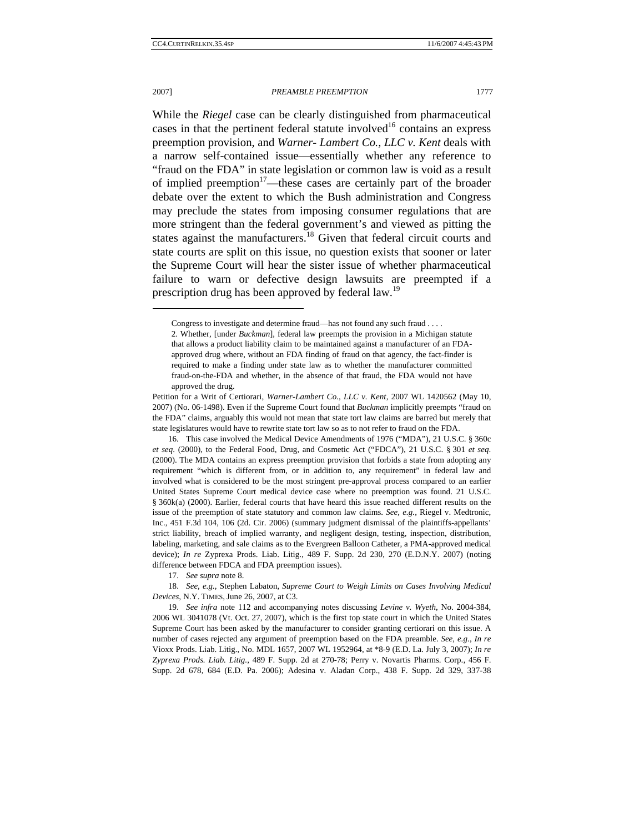### 2007] *PREAMBLE PREEMPTION* 1777

While the *Riegel* case can be clearly distinguished from pharmaceutical cases in that the pertinent federal statute involved<sup>16</sup> contains an express preemption provision, and *Warner- Lambert Co., LLC v. Kent* deals with a narrow self-contained issue—essentially whether any reference to "fraud on the FDA" in state legislation or common law is void as a result of implied preemption<sup>17</sup>—these cases are certainly part of the broader debate over the extent to which the Bush administration and Congress may preclude the states from imposing consumer regulations that are more stringent than the federal government's and viewed as pitting the states against the manufacturers.<sup>18</sup> Given that federal circuit courts and state courts are split on this issue, no question exists that sooner or later the Supreme Court will hear the sister issue of whether pharmaceutical failure to warn or defective design lawsuits are preempted if a prescription drug has been approved by federal law.<sup>19</sup>

17. *See supra* note 8.

 18. *See, e.g.*, Stephen Labaton, *Supreme Court to Weigh Limits on Cases Involving Medical Devices*, N.Y. TIMES, June 26, 2007, at C3.

Congress to investigate and determine fraud—has not found any such fraud . . . .

<sup>2.</sup> Whether, [under *Buckman*], federal law preempts the provision in a Michigan statute that allows a product liability claim to be maintained against a manufacturer of an FDAapproved drug where, without an FDA finding of fraud on that agency, the fact-finder is required to make a finding under state law as to whether the manufacturer committed fraud-on-the-FDA and whether, in the absence of that fraud, the FDA would not have approved the drug.

Petition for a Writ of Certiorari, *Warner-Lambert Co., LLC v. Kent*, 2007 WL 1420562 (May 10, 2007) (No. 06-1498). Even if the Supreme Court found that *Buckman* implicitly preempts "fraud on the FDA" claims, arguably this would not mean that state tort law claims are barred but merely that state legislatures would have to rewrite state tort law so as to not refer to fraud on the FDA.

 <sup>16.</sup> This case involved the Medical Device Amendments of 1976 ("MDA"), 21 U.S.C. § 360c *et seq*. (2000), to the Federal Food, Drug, and Cosmetic Act ("FDCA"), 21 U.S.C. § 301 *et seq*. (2000). The MDA contains an express preemption provision that forbids a state from adopting any requirement "which is different from, or in addition to, any requirement" in federal law and involved what is considered to be the most stringent pre-approval process compared to an earlier United States Supreme Court medical device case where no preemption was found. 21 U.S.C. § 360k(a) (2000). Earlier, federal courts that have heard this issue reached different results on the issue of the preemption of state statutory and common law claims. *See, e.g.*, Riegel v. Medtronic, Inc., 451 F.3d 104, 106 (2d. Cir. 2006) (summary judgment dismissal of the plaintiffs-appellants' strict liability, breach of implied warranty, and negligent design, testing, inspection, distribution, labeling, marketing, and sale claims as to the Evergreen Balloon Catheter, a PMA-approved medical device); *In re* Zyprexa Prods. Liab. Litig., 489 F. Supp. 2d 230, 270 (E.D.N.Y. 2007) (noting difference between FDCA and FDA preemption issues).

 <sup>19.</sup> *See infra* note 112 and accompanying notes discussing *Levine v. Wyeth*, No. 2004-384, 2006 WL 3041078 (Vt. Oct. 27, 2007), which is the first top state court in which the United States Supreme Court has been asked by the manufacturer to consider granting certiorari on this issue. A number of cases rejected any argument of preemption based on the FDA preamble. *See, e.g.*, *In re*  Vioxx Prods. Liab. Litig., No. MDL 1657, 2007 WL 1952964, at \*8-9 (E.D. La. July 3, 2007); *In re Zyprexa Prods. Liab. Litig.*, 489 F. Supp. 2d at 270-78; Perry v. Novartis Pharms. Corp., 456 F. Supp. 2d 678, 684 (E.D. Pa. 2006); Adesina v. Aladan Corp., 438 F. Supp. 2d 329, 337-38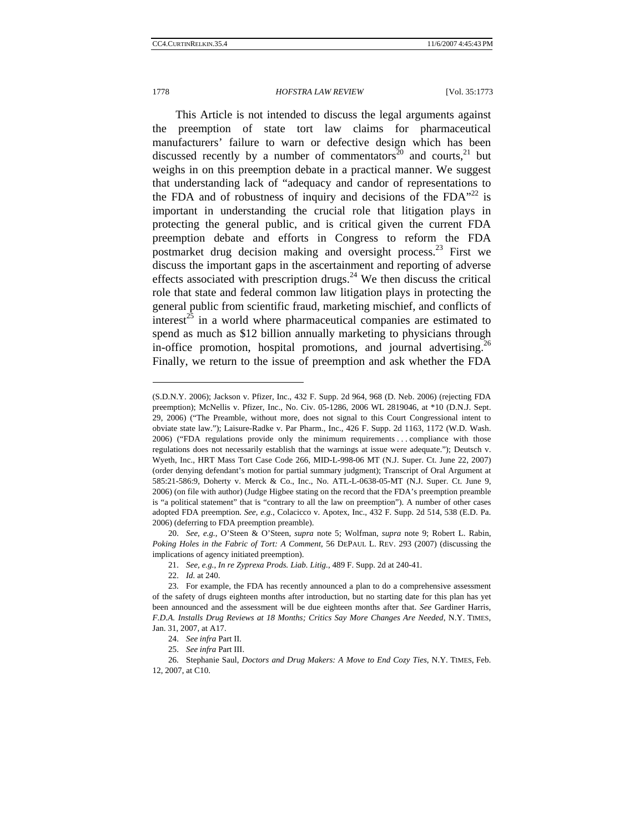### 1778 *HOFSTRA LAW REVIEW* [Vol. 35:1773

This Article is not intended to discuss the legal arguments against the preemption of state tort law claims for pharmaceutical manufacturers' failure to warn or defective design which has been discussed recently by a number of commentators<sup>20</sup> and courts,<sup>21</sup> but weighs in on this preemption debate in a practical manner. We suggest that understanding lack of "adequacy and candor of representations to the FDA and of robustness of inquiry and decisions of the FDA $^{22}$  is important in understanding the crucial role that litigation plays in protecting the general public, and is critical given the current FDA preemption debate and efforts in Congress to reform the FDA postmarket drug decision making and oversight process.<sup>23</sup> First we discuss the important gaps in the ascertainment and reporting of adverse effects associated with prescription drugs.<sup>24</sup> We then discuss the critical role that state and federal common law litigation plays in protecting the general public from scientific fraud, marketing mischief, and conflicts of interest<sup>25</sup> in a world where pharmaceutical companies are estimated to spend as much as \$12 billion annually marketing to physicians through in-office promotion, hospital promotions, and journal advertising.<sup>26</sup> Finally, we return to the issue of preemption and ask whether the FDA

<sup>(</sup>S.D.N.Y. 2006); Jackson v. Pfizer, Inc., 432 F. Supp. 2d 964, 968 (D. Neb. 2006) (rejecting FDA preemption); McNellis v. Pfizer, Inc., No. Civ. 05-1286, 2006 WL 2819046, at \*10 (D.N.J. Sept. 29, 2006) ("The Preamble, without more, does not signal to this Court Congressional intent to obviate state law."); Laisure-Radke v. Par Pharm., Inc., 426 F. Supp. 2d 1163, 1172 (W.D. Wash. 2006) ("FDA regulations provide only the minimum requirements . . . compliance with those regulations does not necessarily establish that the warnings at issue were adequate."); Deutsch v. Wyeth, Inc., HRT Mass Tort Case Code 266, MID-L-998-06 MT (N.J. Super. Ct. June 22, 2007) (order denying defendant's motion for partial summary judgment); Transcript of Oral Argument at 585:21-586:9, Doherty v. Merck & Co., Inc., No. ATL-L-0638-05-MT (N.J. Super. Ct. June 9, 2006) (on file with author) (Judge Higbee stating on the record that the FDA's preemption preamble is "a political statement" that is "contrary to all the law on preemption"). A number of other cases adopted FDA preemption. *See, e.g.*, Colacicco v. Apotex, Inc., 432 F. Supp. 2d 514, 538 (E.D. Pa. 2006) (deferring to FDA preemption preamble).

 <sup>20.</sup> *See, e.g.*, O'Steen & O'Steen, *supra* note 5; Wolfman, *supra* note 9; Robert L. Rabin, *Poking Holes in the Fabric of Tort: A Comment*, 56 DEPAUL L. REV. 293 (2007) (discussing the implications of agency initiated preemption).

 <sup>21.</sup> *See, e.g.*, *In re Zyprexa Prods. Liab. Litig.*, 489 F. Supp. 2d at 240-41.

<sup>22.</sup> *Id.* at 240.

 <sup>23.</sup> For example, the FDA has recently announced a plan to do a comprehensive assessment of the safety of drugs eighteen months after introduction, but no starting date for this plan has yet been announced and the assessment will be due eighteen months after that. *See* Gardiner Harris, *F.D.A. Installs Drug Reviews at 18 Months; Critics Say More Changes Are Needed*, N.Y. TIMES, Jan. 31, 2007, at A17.

 <sup>24.</sup> *See infra* Part II.

 <sup>25.</sup> *See infra* Part III.

 <sup>26.</sup> Stephanie Saul, *Doctors and Drug Makers: A Move to End Cozy Ties*, N.Y. TIMES, Feb. 12, 2007, at C10.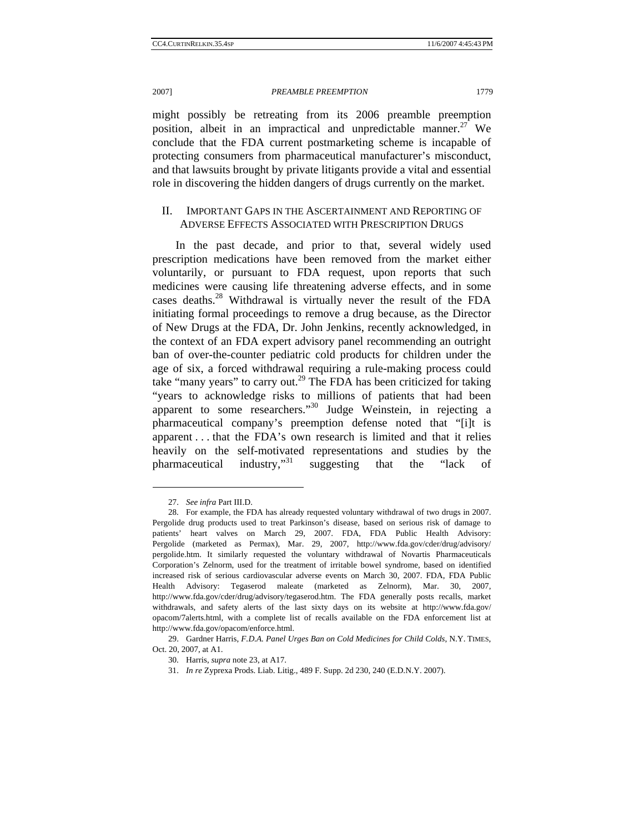might possibly be retreating from its 2006 preamble preemption position, albeit in an impractical and unpredictable manner.<sup>27</sup> We conclude that the FDA current postmarketing scheme is incapable of protecting consumers from pharmaceutical manufacturer's misconduct, and that lawsuits brought by private litigants provide a vital and essential role in discovering the hidden dangers of drugs currently on the market.

# II. IMPORTANT GAPS IN THE ASCERTAINMENT AND REPORTING OF ADVERSE EFFECTS ASSOCIATED WITH PRESCRIPTION DRUGS

In the past decade, and prior to that, several widely used prescription medications have been removed from the market either voluntarily, or pursuant to FDA request, upon reports that such medicines were causing life threatening adverse effects, and in some cases deaths.<sup>28</sup> Withdrawal is virtually never the result of the FDA initiating formal proceedings to remove a drug because, as the Director of New Drugs at the FDA, Dr. John Jenkins, recently acknowledged, in the context of an FDA expert advisory panel recommending an outright ban of over-the-counter pediatric cold products for children under the age of six, a forced withdrawal requiring a rule-making process could take "many years" to carry out.<sup>29</sup> The FDA has been criticized for taking "years to acknowledge risks to millions of patients that had been apparent to some researchers."30 Judge Weinstein, in rejecting a pharmaceutical company's preemption defense noted that "[i]t is apparent . . . that the FDA's own research is limited and that it relies heavily on the self-motivated representations and studies by the pharmaceutical industry,"<sup>31</sup> suggesting that the "lack of

 <sup>27.</sup> *See infra* Part III.D.

 <sup>28.</sup> For example, the FDA has already requested voluntary withdrawal of two drugs in 2007. Pergolide drug products used to treat Parkinson's disease, based on serious risk of damage to patients' heart valves on March 29, 2007. FDA, FDA Public Health Advisory: Pergolide (marketed as Permax), Mar. 29, 2007, http://www.fda.gov/cder/drug/advisory/ pergolide.htm. It similarly requested the voluntary withdrawal of Novartis Pharmaceuticals Corporation's Zelnorm, used for the treatment of irritable bowel syndrome, based on identified increased risk of serious cardiovascular adverse events on March 30, 2007. FDA, FDA Public Health Advisory: Tegaserod maleate (marketed as Zelnorm), Mar. 30, 2007, http://www.fda.gov/cder/drug/advisory/tegaserod.htm. The FDA generally posts recalls, market withdrawals, and safety alerts of the last sixty days on its website at http://www.fda.gov/ opacom/7alerts.html, with a complete list of recalls available on the FDA enforcement list at http://www.fda.gov/opacom/enforce.html.

 <sup>29.</sup> Gardner Harris, *F.D.A. Panel Urges Ban on Cold Medicines for Child Colds*, N.Y. TIMES, Oct. 20, 2007, at A1.

 <sup>30.</sup> Harris, *supra* note 23, at A17.

<sup>31.</sup> *In re* Zyprexa Prods. Liab. Litig., 489 F. Supp. 2d 230, 240 (E.D.N.Y. 2007).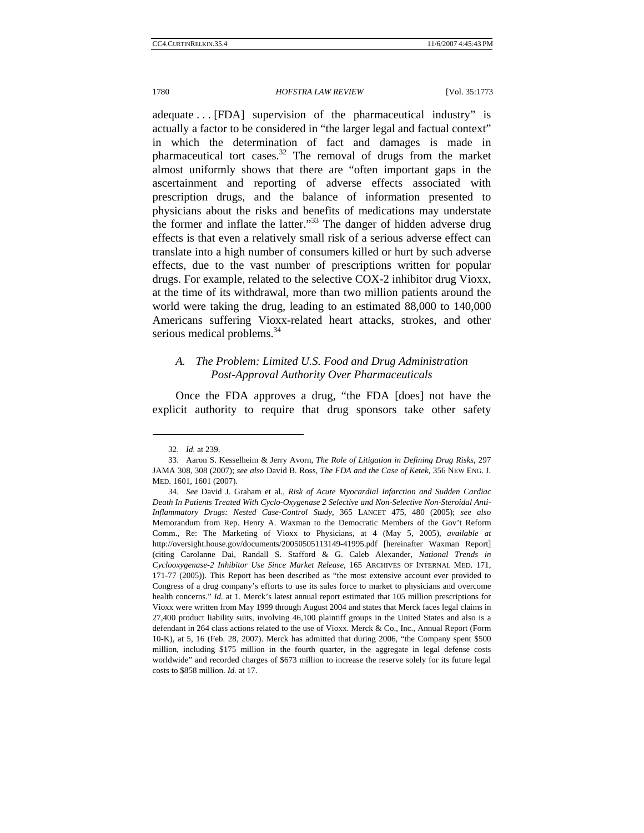adequate . . . [FDA] supervision of the pharmaceutical industry" is actually a factor to be considered in "the larger legal and factual context" in which the determination of fact and damages is made in pharmaceutical tort cases. $32$  The removal of drugs from the market almost uniformly shows that there are "often important gaps in the ascertainment and reporting of adverse effects associated with prescription drugs, and the balance of information presented to physicians about the risks and benefits of medications may understate the former and inflate the latter."<sup>33</sup> The danger of hidden adverse drug effects is that even a relatively small risk of a serious adverse effect can translate into a high number of consumers killed or hurt by such adverse effects, due to the vast number of prescriptions written for popular drugs. For example, related to the selective COX-2 inhibitor drug Vioxx, at the time of its withdrawal, more than two million patients around the world were taking the drug, leading to an estimated 88,000 to 140,000 Americans suffering Vioxx-related heart attacks, strokes, and other serious medical problems.<sup>34</sup>

# *A. The Problem: Limited U.S. Food and Drug Administration Post-Approval Authority Over Pharmaceuticals*

Once the FDA approves a drug, "the FDA [does] not have the explicit authority to require that drug sponsors take other safety

<sup>32.</sup> *Id.* at 239.

 <sup>33.</sup> Aaron S. Kesselheim & Jerry Avorn, *The Role of Litigation in Defining Drug Risks*, 297 JAMA 308, 308 (2007); *see also* David B. Ross, *The FDA and the Case of Ketek*, 356 NEW ENG. J. MED. 1601, 1601 (2007).

 <sup>34.</sup> *See* David J. Graham et al., *Risk of Acute Myocardial Infarction and Sudden Cardiac Death In Patients Treated With Cyclo-Oxygenase 2 Selective and Non-Selective Non-Steroidal Anti-Inflammatory Drugs: Nested Case-Control Study*, 365 LANCET 475, 480 (2005); *see also*  Memorandum from Rep. Henry A. Waxman to the Democratic Members of the Gov't Reform Comm., Re: The Marketing of Vioxx to Physicians, at 4 (May 5, 2005), *available at* http://oversight.house.gov/documents/20050505113149-41995.pdf [hereinafter Waxman Report] (citing Carolanne Dai, Randall S. Stafford & G. Caleb Alexander, *National Trends in Cyclooxygenase-2 Inhibitor Use Since Market Release*, 165 ARCHIVES OF INTERNAL MED. 171, 171-77 (2005)). This Report has been described as "the most extensive account ever provided to Congress of a drug company's efforts to use its sales force to market to physicians and overcome health concerns." *Id.* at 1. Merck's latest annual report estimated that 105 million prescriptions for Vioxx were written from May 1999 through August 2004 and states that Merck faces legal claims in 27,400 product liability suits, involving 46,100 plaintiff groups in the United States and also is a defendant in 264 class actions related to the use of Vioxx. Merck & Co., Inc., Annual Report (Form 10-K), at 5, 16 (Feb. 28, 2007). Merck has admitted that during 2006, "the Company spent \$500 million, including \$175 million in the fourth quarter, in the aggregate in legal defense costs worldwide" and recorded charges of \$673 million to increase the reserve solely for its future legal costs to \$858 million. *Id.* at 17.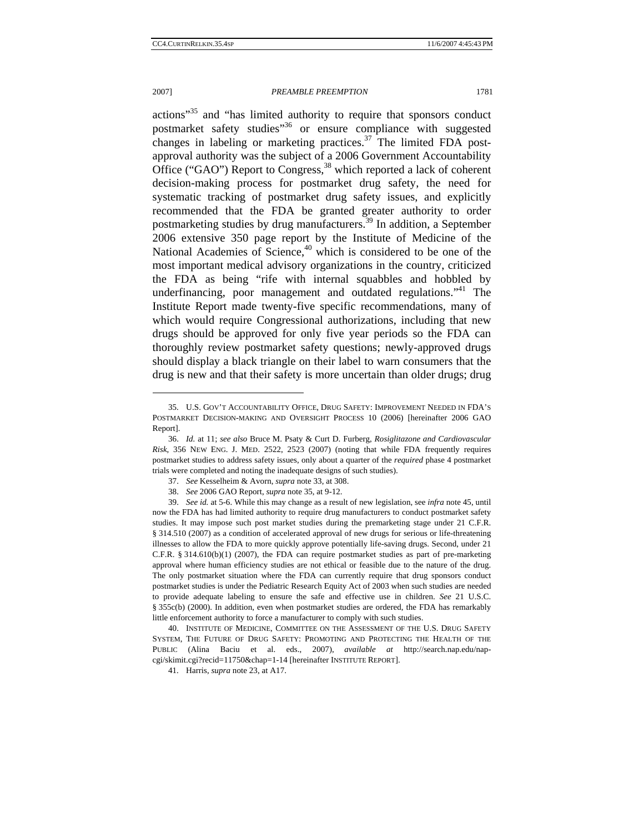### 2007] *PREAMBLE PREEMPTION* 1781

actions<sup>35</sup> and "has limited authority to require that sponsors conduct postmarket safety studies"<sup>36</sup> or ensure compliance with suggested changes in labeling or marketing practices. $37$  The limited FDA postapproval authority was the subject of a 2006 Government Accountability Office ("GAO") Report to Congress,  $38$  which reported a lack of coherent decision-making process for postmarket drug safety, the need for systematic tracking of postmarket drug safety issues, and explicitly recommended that the FDA be granted greater authority to order postmarketing studies by drug manufacturers.<sup>39</sup> In addition, a September 2006 extensive 350 page report by the Institute of Medicine of the National Academies of Science,<sup>40</sup> which is considered to be one of the most important medical advisory organizations in the country, criticized the FDA as being "rife with internal squabbles and hobbled by underfinancing, poor management and outdated regulations.<sup>"41</sup> The Institute Report made twenty-five specific recommendations, many of which would require Congressional authorizations, including that new drugs should be approved for only five year periods so the FDA can thoroughly review postmarket safety questions; newly-approved drugs should display a black triangle on their label to warn consumers that the drug is new and that their safety is more uncertain than older drugs; drug

 <sup>35.</sup> U.S. GOV'T ACCOUNTABILITY OFFICE, DRUG SAFETY: IMPROVEMENT NEEDED IN FDA'S POSTMARKET DECISION-MAKING AND OVERSIGHT PROCESS 10 (2006) [hereinafter 2006 GAO Report].

<sup>36.</sup> *Id.* at 11; *see also* Bruce M. Psaty & Curt D. Furberg, *Rosiglitazone and Cardiovascular Risk*, 356 NEW ENG. J. MED. 2522, 2523 (2007) (noting that while FDA frequently requires postmarket studies to address safety issues, only about a quarter of the *required* phase 4 postmarket trials were completed and noting the inadequate designs of such studies).

<sup>37.</sup> *See* Kesselheim & Avorn, *supra* note 33, at 308.

<sup>38.</sup> *See* 2006 GAO Report, *supra* note 35, at 9-12.

 <sup>39.</sup> *See id.* at 5-6. While this may change as a result of new legislation, see *infra* note 45, until now the FDA has had limited authority to require drug manufacturers to conduct postmarket safety studies. It may impose such post market studies during the premarketing stage under 21 C.F.R. § 314.510 (2007) as a condition of accelerated approval of new drugs for serious or life-threatening illnesses to allow the FDA to more quickly approve potentially life-saving drugs. Second, under 21 C.F.R. § 314.610(b)(1) (2007), the FDA can require postmarket studies as part of pre-marketing approval where human efficiency studies are not ethical or feasible due to the nature of the drug. The only postmarket situation where the FDA can currently require that drug sponsors conduct postmarket studies is under the Pediatric Research Equity Act of 2003 when such studies are needed to provide adequate labeling to ensure the safe and effective use in children. *See* 21 U.S.C. § 355c(b) (2000). In addition, even when postmarket studies are ordered, the FDA has remarkably little enforcement authority to force a manufacturer to comply with such studies.

<sup>40.</sup> INSTITUTE OF MEDICINE, COMMITTEE ON THE ASSESSMENT OF THE U.S. DRUG SAFETY SYSTEM, THE FUTURE OF DRUG SAFETY: PROMOTING AND PROTECTING THE HEALTH OF THE PUBLIC (Alina Baciu et al. eds., 2007), *available at* http://search.nap.edu/napcgi/skimit.cgi?recid=11750&chap=1-14 [hereinafter INSTITUTE REPORT].

 <sup>41.</sup> Harris, *supra* note 23, at A17.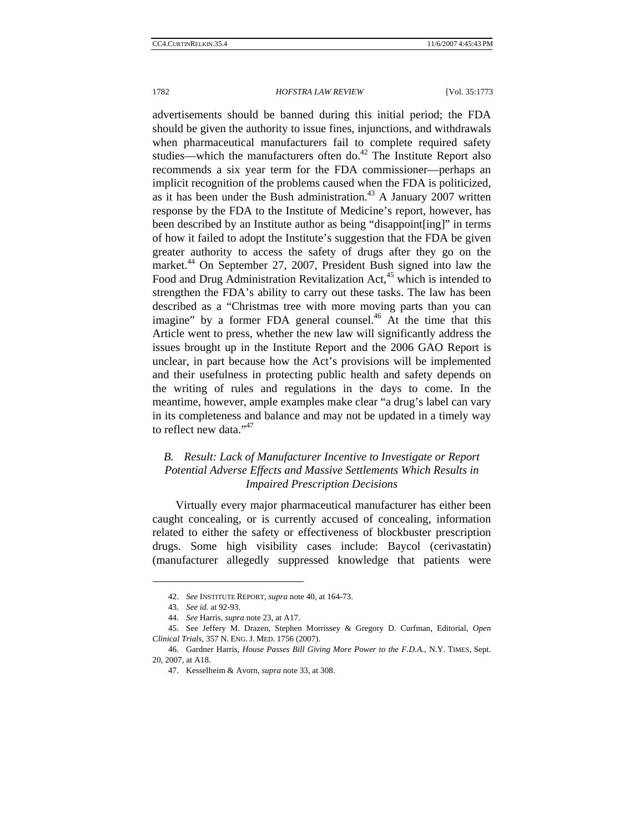advertisements should be banned during this initial period; the FDA should be given the authority to issue fines, injunctions, and withdrawals when pharmaceutical manufacturers fail to complete required safety studies—which the manufacturers often do. $42$  The Institute Report also recommends a six year term for the FDA commissioner—perhaps an implicit recognition of the problems caused when the FDA is politicized, as it has been under the Bush administration.<sup>43</sup> A January 2007 written response by the FDA to the Institute of Medicine's report, however, has been described by an Institute author as being "disappoint[ing]" in terms of how it failed to adopt the Institute's suggestion that the FDA be given greater authority to access the safety of drugs after they go on the market.<sup>44</sup> On September 27, 2007, President Bush signed into law the Food and Drug Administration Revitalization Act,<sup>45</sup> which is intended to strengthen the FDA's ability to carry out these tasks. The law has been described as a "Christmas tree with more moving parts than you can imagine" by a former FDA general counsel.<sup>46</sup> At the time that this Article went to press, whether the new law will significantly address the issues brought up in the Institute Report and the 2006 GAO Report is unclear, in part because how the Act's provisions will be implemented and their usefulness in protecting public health and safety depends on the writing of rules and regulations in the days to come. In the meantime, however, ample examples make clear "a drug's label can vary in its completeness and balance and may not be updated in a timely way to reflect new data."<sup>47</sup>

# *B. Result: Lack of Manufacturer Incentive to Investigate or Report Potential Adverse Effects and Massive Settlements Which Results in Impaired Prescription Decisions*

Virtually every major pharmaceutical manufacturer has either been caught concealing, or is currently accused of concealing, information related to either the safety or effectiveness of blockbuster prescription drugs. Some high visibility cases include: Baycol (cerivastatin) (manufacturer allegedly suppressed knowledge that patients were

<sup>42.</sup> *See* INSTITUTE REPORT, *supra* note 40, at 164-73.

<sup>43.</sup> *See id.* at 92-93.

<sup>44.</sup> *See* Harris, *supra* note 23, at A17.

<sup>45.</sup> See Jeffery M. Drazen, Stephen Morrissey & Gregory D. Curfman, Editorial, *Open Clinical Trials*, 357 N. ENG. J. MED. 1756 (2007).

<sup>46.</sup> Gardner Harris, *House Passes Bill Giving More Power to the F.D.A.*, N.Y. TIMES, Sept. 20, 2007, at A18.

<sup>47.</sup> Kesselheim & Avorn, *supra* note 33, at 308.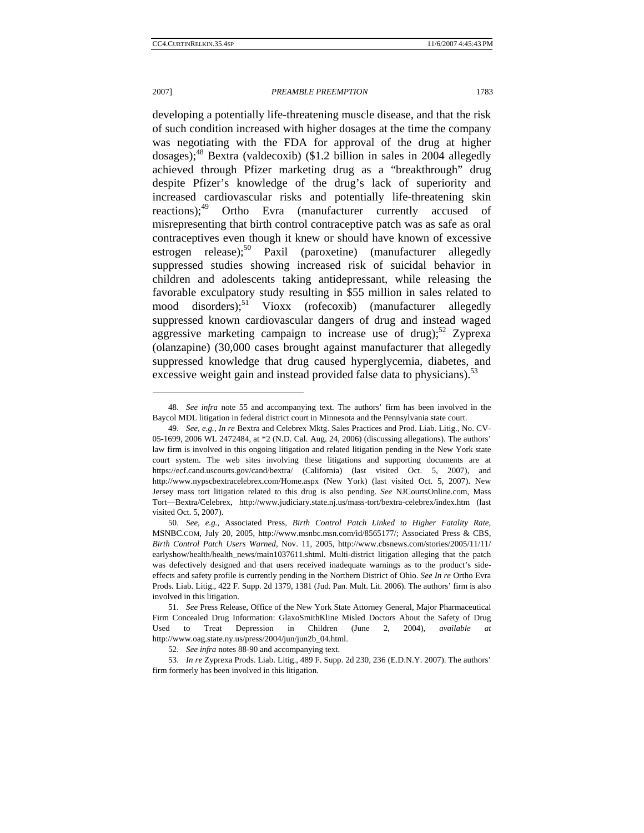### 2007] *PREAMBLE PREEMPTION* 1783

developing a potentially life-threatening muscle disease, and that the risk of such condition increased with higher dosages at the time the company was negotiating with the FDA for approval of the drug at higher dosages);<sup>48</sup> Bextra (valdecoxib) (\$1.2 billion in sales in 2004 allegedly achieved through Pfizer marketing drug as a "breakthrough" drug despite Pfizer's knowledge of the drug's lack of superiority and increased cardiovascular risks and potentially life-threatening skin reactions);<sup>49</sup> Ortho Evra (manufacturer currently accused of misrepresenting that birth control contraceptive patch was as safe as oral contraceptives even though it knew or should have known of excessive estrogen release);<sup>50</sup> Paxil (paroxetine) (manufacturer allegedly suppressed studies showing increased risk of suicidal behavior in children and adolescents taking antidepressant, while releasing the favorable exculpatory study resulting in \$55 million in sales related to mood disorders);<sup>51</sup> Vioxx (rofecoxib) (manufacturer allegedly suppressed known cardiovascular dangers of drug and instead waged aggressive marketing campaign to increase use of drug); $52$  Zyprexa (olanzapine) (30,000 cases brought against manufacturer that allegedly suppressed knowledge that drug caused hyperglycemia, diabetes, and excessive weight gain and instead provided false data to physicians). $53$ 

 <sup>48.</sup> *See infra* note 55 and accompanying text. The authors' firm has been involved in the Baycol MDL litigation in federal district court in Minnesota and the Pennsylvania state court.

<sup>49.</sup> *See, e.g.*, *In re* Bextra and Celebrex Mktg. Sales Practices and Prod. Liab. Litig., No. CV-05-1699, 2006 WL 2472484, at \*2 (N.D. Cal. Aug. 24, 2006) (discussing allegations). The authors' law firm is involved in this ongoing litigation and related litigation pending in the New York state court system. The web sites involving these litigations and supporting documents are at https://ecf.cand.uscourts.gov/cand/bextra/ (California) (last visited Oct. 5, 2007), and http://www.nypscbextracelebrex.com/Home.aspx (New York) (last visited Oct. 5, 2007). New Jersey mass tort litigation related to this drug is also pending. *See* NJCourtsOnline.com, Mass Tort—Bextra/Celebrex, http://www.judiciary.state.nj.us/mass-tort/bextra-celebrex/index.htm (last visited Oct. 5, 2007).

<sup>50.</sup> *See, e.g.*, Associated Press, *Birth Control Patch Linked to Higher Fatality Rate*, MSNBC.COM, July 20, 2005, http://www.msnbc.msn.com/id/8565177/; Associated Press & CBS, *Birth Control Patch Users Warned*, Nov. 11, 2005, http://www.cbsnews.com/stories/2005/11/11/ earlyshow/health/health\_news/main1037611.shtml. Multi-district litigation alleging that the patch was defectively designed and that users received inadequate warnings as to the product's sideeffects and safety profile is currently pending in the Northern District of Ohio. *See In re* Ortho Evra Prods. Liab. Litig., 422 F. Supp. 2d 1379, 1381 (Jud. Pan. Mult. Lit. 2006). The authors' firm is also involved in this litigation.

<sup>51.</sup> *See* Press Release, Office of the New York State Attorney General, Major Pharmaceutical Firm Concealed Drug Information: GlaxoSmithKline Misled Doctors About the Safety of Drug Used to Treat Depression in Children (June 2, 2004), *available at* http://www.oag.state.ny.us/press/2004/jun/jun2b\_04.html.

 <sup>52.</sup> *See infra* notes 88-90 and accompanying text.

<sup>53.</sup> *In re* Zyprexa Prods. Liab. Litig., 489 F. Supp. 2d 230, 236 (E.D.N.Y. 2007). The authors' firm formerly has been involved in this litigation.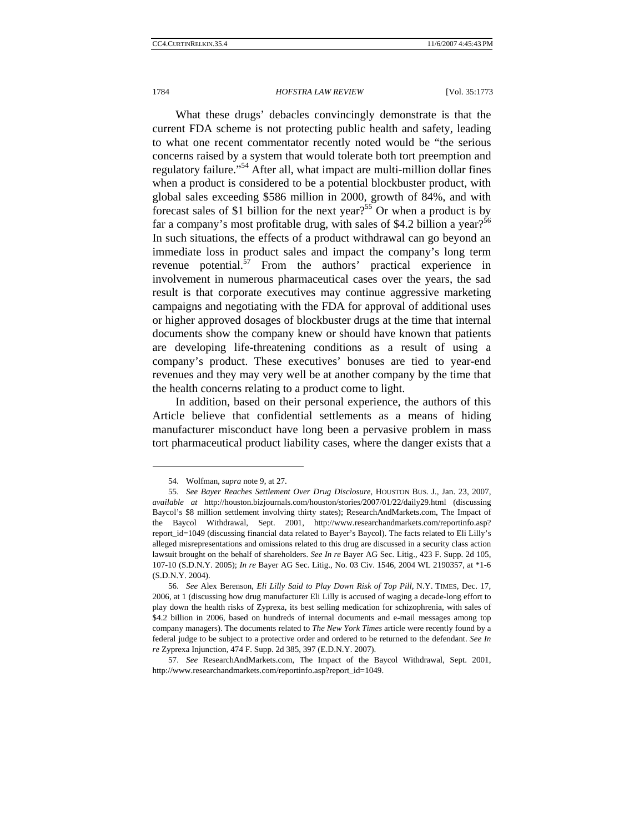What these drugs' debacles convincingly demonstrate is that the current FDA scheme is not protecting public health and safety, leading to what one recent commentator recently noted would be "the serious concerns raised by a system that would tolerate both tort preemption and regulatory failure."54 After all, what impact are multi-million dollar fines when a product is considered to be a potential blockbuster product, with global sales exceeding \$586 million in 2000, growth of 84%, and with forecast sales of \$1 billion for the next year?<sup>55</sup> Or when a product is by far a company's most profitable drug, with sales of \$4.2 billion a year?<sup>56</sup> In such situations, the effects of a product withdrawal can go beyond an immediate loss in product sales and impact the company's long term revenue potential.<sup>57</sup> From the authors' practical experience in involvement in numerous pharmaceutical cases over the years, the sad result is that corporate executives may continue aggressive marketing campaigns and negotiating with the FDA for approval of additional uses or higher approved dosages of blockbuster drugs at the time that internal documents show the company knew or should have known that patients are developing life-threatening conditions as a result of using a company's product. These executives' bonuses are tied to year-end revenues and they may very well be at another company by the time that the health concerns relating to a product come to light.

In addition, based on their personal experience, the authors of this Article believe that confidential settlements as a means of hiding manufacturer misconduct have long been a pervasive problem in mass tort pharmaceutical product liability cases, where the danger exists that a

 <sup>54.</sup> Wolfman, *supra* note 9, at 27.

 <sup>55.</sup> *See Bayer Reaches Settlement Over Drug Disclosure*, HOUSTON BUS. J., Jan. 23, 2007, *available at* http://houston.bizjournals.com/houston/stories/2007/01/22/daily29.html (discussing Baycol's \$8 million settlement involving thirty states); ResearchAndMarkets.com, The Impact of the Baycol Withdrawal, Sept. 2001, http://www.researchandmarkets.com/reportinfo.asp? report\_id=1049 (discussing financial data related to Bayer's Baycol). The facts related to Eli Lilly's alleged misrepresentations and omissions related to this drug are discussed in a security class action lawsuit brought on the behalf of shareholders. *See In re* Bayer AG Sec. Litig., 423 F. Supp. 2d 105, 107-10 (S.D.N.Y. 2005); *In re* Bayer AG Sec. Litig., No. 03 Civ. 1546, 2004 WL 2190357, at \*1-6 (S.D.N.Y. 2004).

<sup>56.</sup> *See* Alex Berenson, *Eli Lilly Said to Play Down Risk of Top Pill*, N.Y. TIMES, Dec. 17, 2006, at 1 (discussing how drug manufacturer Eli Lilly is accused of waging a decade-long effort to play down the health risks of Zyprexa, its best selling medication for schizophrenia, with sales of \$4.2 billion in 2006, based on hundreds of internal documents and e-mail messages among top company managers). The documents related to *The New York Times* article were recently found by a federal judge to be subject to a protective order and ordered to be returned to the defendant. *See In re* Zyprexa Injunction, 474 F. Supp. 2d 385, 397 (E.D.N.Y. 2007).

<sup>57.</sup> *See* ResearchAndMarkets.com, The Impact of the Baycol Withdrawal, Sept. 2001, http://www.researchandmarkets.com/reportinfo.asp?report\_id=1049.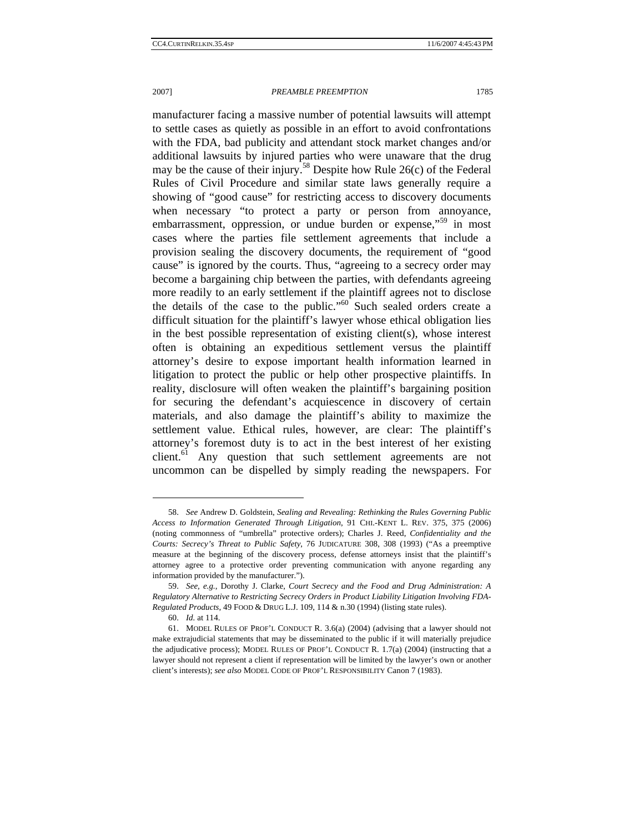manufacturer facing a massive number of potential lawsuits will attempt to settle cases as quietly as possible in an effort to avoid confrontations with the FDA, bad publicity and attendant stock market changes and/or additional lawsuits by injured parties who were unaware that the drug may be the cause of their injury.<sup>58</sup> Despite how Rule 26(c) of the Federal Rules of Civil Procedure and similar state laws generally require a showing of "good cause" for restricting access to discovery documents when necessary "to protect a party or person from annoyance, embarrassment, oppression, or undue burden or expense,<sup>59</sup> in most cases where the parties file settlement agreements that include a provision sealing the discovery documents, the requirement of "good cause" is ignored by the courts. Thus, "agreeing to a secrecy order may become a bargaining chip between the parties, with defendants agreeing more readily to an early settlement if the plaintiff agrees not to disclose

the details of the case to the public."<sup>60</sup> Such sealed orders create a difficult situation for the plaintiff's lawyer whose ethical obligation lies in the best possible representation of existing client(s), whose interest often is obtaining an expeditious settlement versus the plaintiff attorney's desire to expose important health information learned in litigation to protect the public or help other prospective plaintiffs. In reality, disclosure will often weaken the plaintiff's bargaining position for securing the defendant's acquiescence in discovery of certain materials, and also damage the plaintiff's ability to maximize the settlement value. Ethical rules, however, are clear: The plaintiff's attorney's foremost duty is to act in the best interest of her existing client.<sup>61</sup> Any question that such settlement agreements are not uncommon can be dispelled by simply reading the newspapers. For

<sup>58.</sup> *See* Andrew D. Goldstein, *Sealing and Revealing: Rethinking the Rules Governing Public Access to Information Generated Through Litigation*, 91 CHI.-KENT L. REV. 375, 375 (2006) (noting commonness of "umbrella" protective orders); Charles J. Reed, *Confidentiality and the Courts: Secrecy's Threat to Public Safety*, 76 JUDICATURE 308, 308 (1993) ("As a preemptive measure at the beginning of the discovery process, defense attorneys insist that the plaintiff's attorney agree to a protective order preventing communication with anyone regarding any information provided by the manufacturer.").

<sup>59.</sup> *See, e.g.*, Dorothy J. Clarke, *Court Secrecy and the Food and Drug Administration: A Regulatory Alternative to Restricting Secrecy Orders in Product Liability Litigation Involving FDA-Regulated Products*, 49 FOOD & DRUG L.J. 109, 114 & n.30 (1994) (listing state rules).

<sup>60.</sup> *Id.* at 114.

 <sup>61.</sup> MODEL RULES OF PROF'L CONDUCT R. 3.6(a) (2004) (advising that a lawyer should not make extrajudicial statements that may be disseminated to the public if it will materially prejudice the adjudicative process); MODEL RULES OF PROF'L CONDUCT R. 1.7(a) (2004) (instructing that a lawyer should not represent a client if representation will be limited by the lawyer's own or another client's interests); *see also* MODEL CODE OF PROF'L RESPONSIBILITY Canon 7 (1983).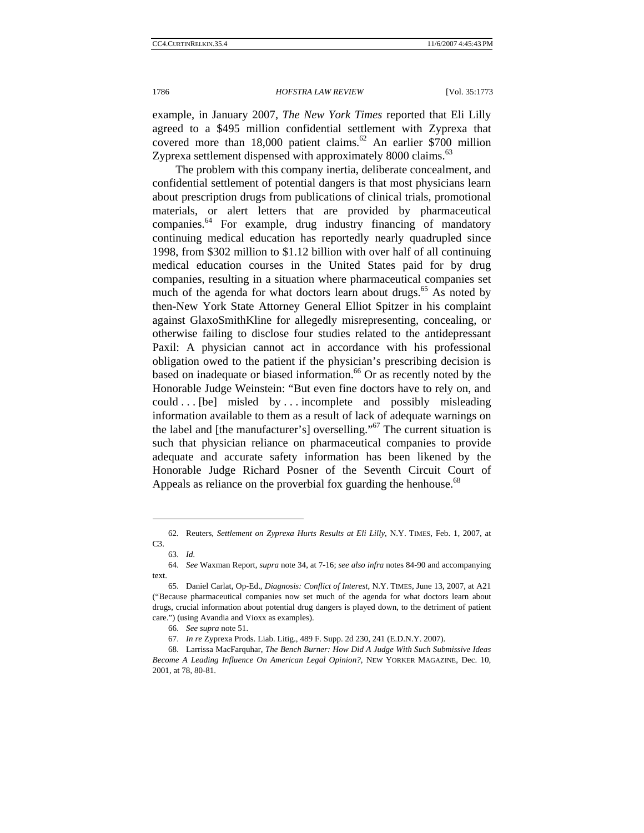example, in January 2007, *The New York Times* reported that Eli Lilly agreed to a \$495 million confidential settlement with Zyprexa that covered more than  $18,000$  patient claims.<sup>62</sup> An earlier \$700 million Zyprexa settlement dispensed with approximately 8000 claims.<sup>63</sup>

The problem with this company inertia, deliberate concealment, and confidential settlement of potential dangers is that most physicians learn about prescription drugs from publications of clinical trials, promotional materials, or alert letters that are provided by pharmaceutical companies.<sup>64</sup> For example, drug industry financing of mandatory continuing medical education has reportedly nearly quadrupled since 1998, from \$302 million to \$1.12 billion with over half of all continuing medical education courses in the United States paid for by drug companies, resulting in a situation where pharmaceutical companies set much of the agenda for what doctors learn about drugs. $65$  As noted by then-New York State Attorney General Elliot Spitzer in his complaint against GlaxoSmithKline for allegedly misrepresenting, concealing, or otherwise failing to disclose four studies related to the antidepressant Paxil: A physician cannot act in accordance with his professional obligation owed to the patient if the physician's prescribing decision is based on inadequate or biased information.<sup>66</sup> Or as recently noted by the Honorable Judge Weinstein: "But even fine doctors have to rely on, and  $\text{could} \dots$  [be] misled by  $\ldots$  incomplete and possibly misleading information available to them as a result of lack of adequate warnings on the label and [the manufacturer's] overselling."67 The current situation is such that physician reliance on pharmaceutical companies to provide adequate and accurate safety information has been likened by the Honorable Judge Richard Posner of the Seventh Circuit Court of Appeals as reliance on the proverbial fox guarding the henhouse.<sup>68</sup>

 <sup>62.</sup> Reuters, *Settlement on Zyprexa Hurts Results at Eli Lilly*, N.Y. TIMES, Feb. 1, 2007, at C3.

<sup>63.</sup> *Id.*

<sup>64.</sup> *See* Waxman Report, *supra* note 34, at 7-16; *see also infra* notes 84-90 and accompanying text.

 <sup>65.</sup> Daniel Carlat, Op-Ed., *Diagnosis: Conflict of Interest*, N.Y. TIMES, June 13, 2007, at A21 ("Because pharmaceutical companies now set much of the agenda for what doctors learn about drugs, crucial information about potential drug dangers is played down, to the detriment of patient care.") (using Avandia and Vioxx as examples).

<sup>66.</sup> *See supra* note 51.

<sup>67.</sup> *In re* Zyprexa Prods. Liab. Litig., 489 F. Supp. 2d 230, 241 (E.D.N.Y. 2007).

<sup>68.</sup> Larrissa MacFarquhar, *The Bench Burner: How Did A Judge With Such Submissive Ideas Become A Leading Influence On American Legal Opinion?*, NEW YORKER MAGAZINE, Dec. 10, 2001, at 78, 80-81.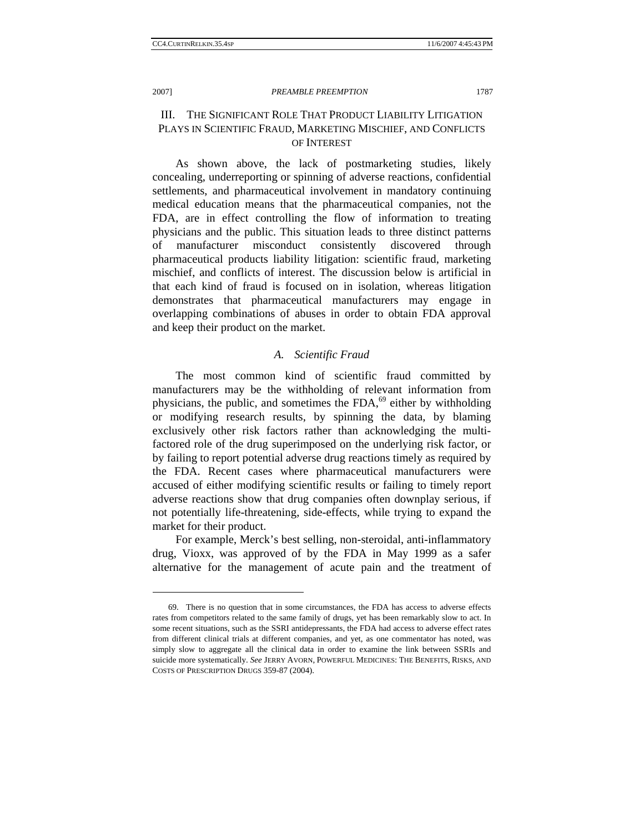### 2007] *PREAMBLE PREEMPTION* 1787

# III. THE SIGNIFICANT ROLE THAT PRODUCT LIABILITY LITIGATION PLAYS IN SCIENTIFIC FRAUD, MARKETING MISCHIEF, AND CONFLICTS OF INTEREST

As shown above, the lack of postmarketing studies, likely concealing, underreporting or spinning of adverse reactions, confidential settlements, and pharmaceutical involvement in mandatory continuing medical education means that the pharmaceutical companies, not the FDA, are in effect controlling the flow of information to treating physicians and the public. This situation leads to three distinct patterns of manufacturer misconduct consistently discovered through pharmaceutical products liability litigation: scientific fraud, marketing mischief, and conflicts of interest. The discussion below is artificial in that each kind of fraud is focused on in isolation, whereas litigation demonstrates that pharmaceutical manufacturers may engage in overlapping combinations of abuses in order to obtain FDA approval and keep their product on the market.

# *A. Scientific Fraud*

The most common kind of scientific fraud committed by manufacturers may be the withholding of relevant information from physicians, the public, and sometimes the FDA, $^{69}$  either by withholding or modifying research results, by spinning the data, by blaming exclusively other risk factors rather than acknowledging the multifactored role of the drug superimposed on the underlying risk factor, or by failing to report potential adverse drug reactions timely as required by the FDA. Recent cases where pharmaceutical manufacturers were accused of either modifying scientific results or failing to timely report adverse reactions show that drug companies often downplay serious, if not potentially life-threatening, side-effects, while trying to expand the market for their product.

For example, Merck's best selling, non-steroidal, anti-inflammatory drug, Vioxx, was approved of by the FDA in May 1999 as a safer alternative for the management of acute pain and the treatment of

 <sup>69.</sup> There is no question that in some circumstances, the FDA has access to adverse effects rates from competitors related to the same family of drugs, yet has been remarkably slow to act. In some recent situations, such as the SSRI antidepressants, the FDA had access to adverse effect rates from different clinical trials at different companies, and yet, as one commentator has noted, was simply slow to aggregate all the clinical data in order to examine the link between SSRIs and suicide more systematically. *See* JERRY AVORN, POWERFUL MEDICINES: THE BENEFITS, RISKS, AND COSTS OF PRESCRIPTION DRUGS 359-87 (2004).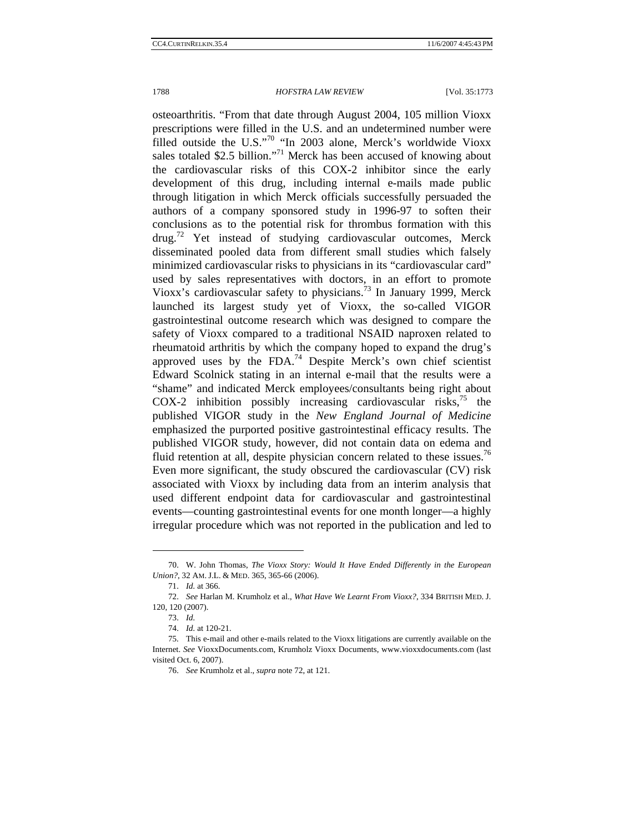osteoarthritis. "From that date through August 2004, 105 million Vioxx prescriptions were filled in the U.S. and an undetermined number were filled outside the U.S."70 "In 2003 alone, Merck's worldwide Vioxx sales totaled \$2.5 billion."<sup>71</sup> Merck has been accused of knowing about the cardiovascular risks of this COX-2 inhibitor since the early development of this drug, including internal e-mails made public through litigation in which Merck officials successfully persuaded the authors of a company sponsored study in 1996-97 to soften their conclusions as to the potential risk for thrombus formation with this drug.<sup>72</sup> Yet instead of studying cardiovascular outcomes, Merck disseminated pooled data from different small studies which falsely minimized cardiovascular risks to physicians in its "cardiovascular card" used by sales representatives with doctors, in an effort to promote Vioxx's cardiovascular safety to physicians.73 In January 1999, Merck launched its largest study yet of Vioxx, the so-called VIGOR gastrointestinal outcome research which was designed to compare the safety of Vioxx compared to a traditional NSAID naproxen related to rheumatoid arthritis by which the company hoped to expand the drug's approved uses by the FDA.<sup>74</sup> Despite Merck's own chief scientist Edward Scolnick stating in an internal e-mail that the results were a "shame" and indicated Merck employees/consultants being right about  $COX-2$  inhibition possibly increasing cardiovascular risks,<sup>75</sup> the published VIGOR study in the *New England Journal of Medicine* emphasized the purported positive gastrointestinal efficacy results. The published VIGOR study, however, did not contain data on edema and fluid retention at all, despite physician concern related to these issues.<sup>76</sup> Even more significant, the study obscured the cardiovascular (CV) risk associated with Vioxx by including data from an interim analysis that used different endpoint data for cardiovascular and gastrointestinal events—counting gastrointestinal events for one month longer—a highly irregular procedure which was not reported in the publication and led to

 <sup>70.</sup> W. John Thomas, *The Vioxx Story: Would It Have Ended Differently in the European Union?*, 32 AM. J.L. & MED. 365, 365-66 (2006).

<sup>71.</sup> *Id.* at 366.

<sup>72.</sup> *See* Harlan M. Krumholz et al., *What Have We Learnt From Vioxx?*, 334 BRITISH MED. J. 120, 120 (2007).

<sup>73.</sup> *Id.*

<sup>74.</sup> *Id.* at 120-21.

 <sup>75.</sup> This e-mail and other e-mails related to the Vioxx litigations are currently available on the Internet. *See* VioxxDocuments.com, Krumholz Vioxx Documents, www.vioxxdocuments.com (last visited Oct. 6, 2007).

<sup>76.</sup> *See* Krumholz et al., *supra* note 72, at 121.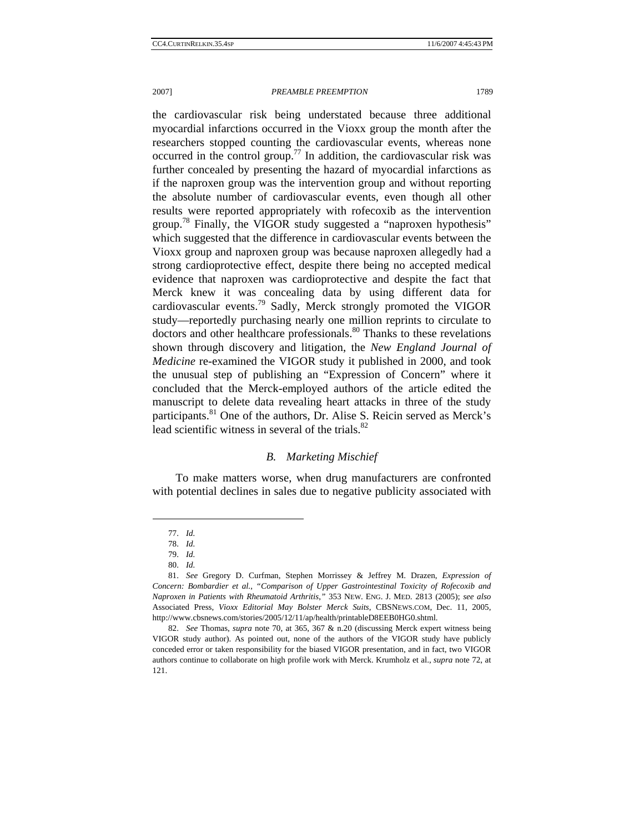the cardiovascular risk being understated because three additional myocardial infarctions occurred in the Vioxx group the month after the researchers stopped counting the cardiovascular events, whereas none occurred in the control group.<sup>77</sup> In addition, the cardiovascular risk was further concealed by presenting the hazard of myocardial infarctions as if the naproxen group was the intervention group and without reporting the absolute number of cardiovascular events, even though all other results were reported appropriately with rofecoxib as the intervention group.<sup>78</sup> Finally, the VIGOR study suggested a "naproxen hypothesis" which suggested that the difference in cardiovascular events between the Vioxx group and naproxen group was because naproxen allegedly had a strong cardioprotective effect, despite there being no accepted medical evidence that naproxen was cardioprotective and despite the fact that Merck knew it was concealing data by using different data for cardiovascular events.<sup>79</sup> Sadly, Merck strongly promoted the VIGOR study—reportedly purchasing nearly one million reprints to circulate to doctors and other healthcare professionals.<sup>80</sup> Thanks to these revelations shown through discovery and litigation, the *New England Journal of Medicine* re-examined the VIGOR study it published in 2000, and took the unusual step of publishing an "Expression of Concern" where it concluded that the Merck-employed authors of the article edited the manuscript to delete data revealing heart attacks in three of the study participants.<sup>81</sup> One of the authors, Dr. Alise S. Reicin served as Merck's lead scientific witness in several of the trials.<sup>82</sup>

# *B. Marketing Mischief*

To make matters worse, when drug manufacturers are confronted with potential declines in sales due to negative publicity associated with

<sup>77.</sup> *Id.*

<sup>78.</sup> *Id.*

<sup>79.</sup> *Id.*

<sup>80.</sup> *Id.*

 <sup>81.</sup> *See* Gregory D. Curfman, Stephen Morrissey & Jeffrey M. Drazen, *Expression of Concern: Bombardier et al.*, *"Comparison of Upper Gastrointestinal Toxicity of Rofecoxib and Naproxen in Patients with Rheumatoid Arthritis*,*"* 353 NEW. ENG. J. MED. 2813 (2005); *see also* Associated Press, *Vioxx Editorial May Bolster Merck Suits*, CBSNEWS.COM, Dec. 11, 2005, http://www.cbsnews.com/stories/2005/12/11/ap/health/printableD8EEB0HG0.shtml.

 <sup>82.</sup> *See* Thomas, *supra* note 70, at 365, 367 & n.20 (discussing Merck expert witness being VIGOR study author). As pointed out, none of the authors of the VIGOR study have publicly conceded error or taken responsibility for the biased VIGOR presentation, and in fact, two VIGOR authors continue to collaborate on high profile work with Merck. Krumholz et al., *supra* note 72, at 121.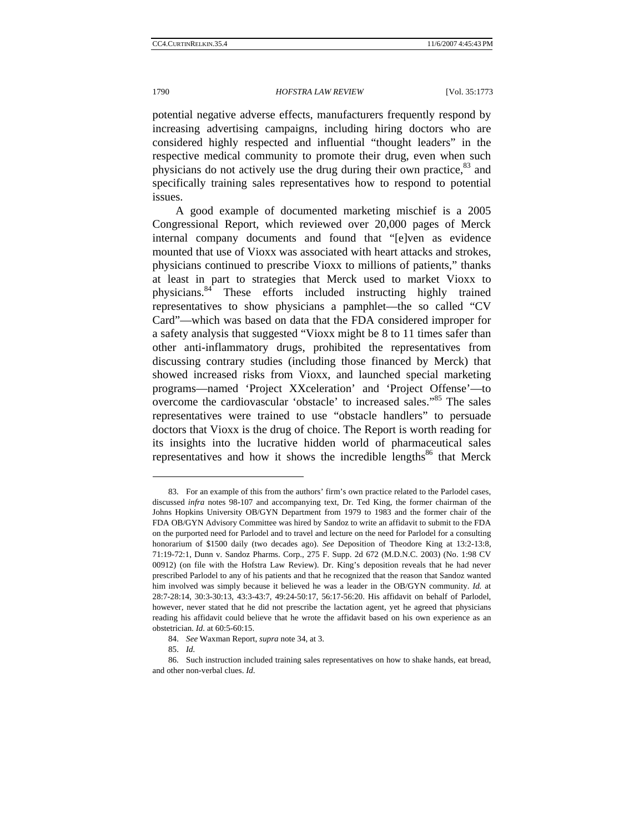potential negative adverse effects, manufacturers frequently respond by increasing advertising campaigns, including hiring doctors who are considered highly respected and influential "thought leaders" in the respective medical community to promote their drug, even when such physicians do not actively use the drug during their own practice,<sup>83</sup> and specifically training sales representatives how to respond to potential issues.

A good example of documented marketing mischief is a 2005 Congressional Report, which reviewed over 20,000 pages of Merck internal company documents and found that "[e]ven as evidence mounted that use of Vioxx was associated with heart attacks and strokes, physicians continued to prescribe Vioxx to millions of patients," thanks at least in part to strategies that Merck used to market Vioxx to physicians.84 These efforts included instructing highly trained representatives to show physicians a pamphlet—the so called "CV Card"—which was based on data that the FDA considered improper for a safety analysis that suggested "Vioxx might be 8 to 11 times safer than other anti-inflammatory drugs, prohibited the representatives from discussing contrary studies (including those financed by Merck) that showed increased risks from Vioxx, and launched special marketing programs—named 'Project XXceleration' and 'Project Offense'—to overcome the cardiovascular 'obstacle' to increased sales."85 The sales representatives were trained to use "obstacle handlers" to persuade doctors that Vioxx is the drug of choice. The Report is worth reading for its insights into the lucrative hidden world of pharmaceutical sales representatives and how it shows the incredible lengths $^{86}$  that Merck

 <sup>83.</sup> For an example of this from the authors' firm's own practice related to the Parlodel cases, discussed *infra* notes 98-107 and accompanying text, Dr. Ted King, the former chairman of the Johns Hopkins University OB/GYN Department from 1979 to 1983 and the former chair of the FDA OB/GYN Advisory Committee was hired by Sandoz to write an affidavit to submit to the FDA on the purported need for Parlodel and to travel and lecture on the need for Parlodel for a consulting honorarium of \$1500 daily (two decades ago). *See* Deposition of Theodore King at 13:2-13:8, 71:19-72:1, Dunn v. Sandoz Pharms. Corp., 275 F. Supp. 2d 672 (M.D.N.C. 2003) (No. 1:98 CV 00912) (on file with the Hofstra Law Review). Dr. King's deposition reveals that he had never prescribed Parlodel to any of his patients and that he recognized that the reason that Sandoz wanted him involved was simply because it believed he was a leader in the OB/GYN community. *Id.* at 28:7-28:14, 30:3-30:13, 43:3-43:7, 49:24-50:17, 56:17-56:20. His affidavit on behalf of Parlodel, however, never stated that he did not prescribe the lactation agent, yet he agreed that physicians reading his affidavit could believe that he wrote the affidavit based on his own experience as an obstetrician. *Id*. at 60:5-60:15.

 <sup>84.</sup> *See* Waxman Report, *supra* note 34, at 3.

 <sup>85.</sup> *Id.* 

 <sup>86.</sup> Such instruction included training sales representatives on how to shake hands, eat bread, and other non-verbal clues. *Id*.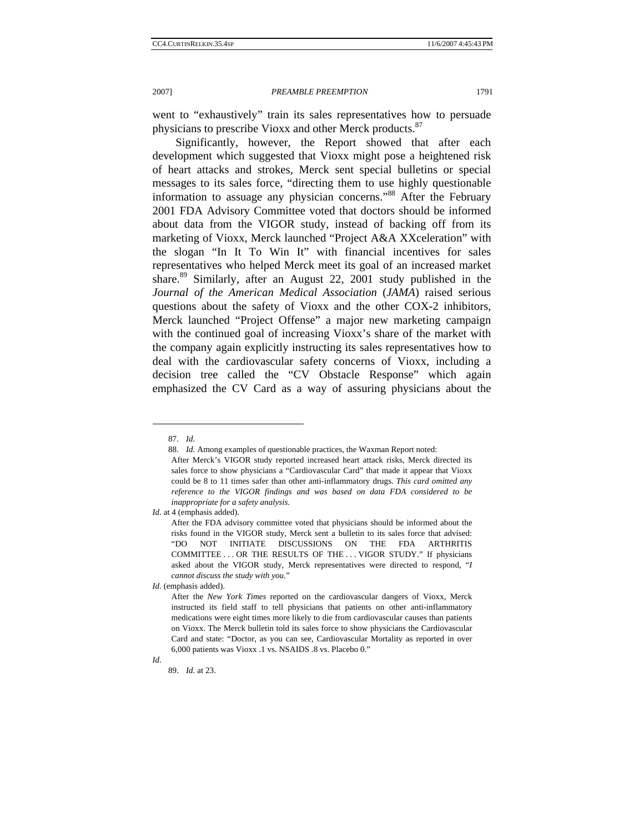went to "exhaustively" train its sales representatives how to persuade physicians to prescribe Vioxx and other Merck products.<sup>87</sup>

Significantly, however, the Report showed that after each development which suggested that Vioxx might pose a heightened risk of heart attacks and strokes, Merck sent special bulletins or special messages to its sales force, "directing them to use highly questionable information to assuage any physician concerns."<sup>88</sup> After the February 2001 FDA Advisory Committee voted that doctors should be informed about data from the VIGOR study, instead of backing off from its marketing of Vioxx, Merck launched "Project A&A XXceleration" with the slogan "In It To Win It" with financial incentives for sales representatives who helped Merck meet its goal of an increased market share.<sup>89</sup> Similarly, after an August 22, 2001 study published in the *Journal of the American Medical Association* (*JAMA*) raised serious questions about the safety of Vioxx and the other COX-2 inhibitors, Merck launched "Project Offense" a major new marketing campaign with the continued goal of increasing Vioxx's share of the market with the company again explicitly instructing its sales representatives how to deal with the cardiovascular safety concerns of Vioxx, including a decision tree called the "CV Obstacle Response" which again emphasized the CV Card as a way of assuring physicians about the

l

*Id.*

<sup>87.</sup> *Id.*

 <sup>88.</sup> *Id.* Among examples of questionable practices, the Waxman Report noted:

After Merck's VIGOR study reported increased heart attack risks, Merck directed its sales force to show physicians a "Cardiovascular Card" that made it appear that Vioxx could be 8 to 11 times safer than other anti-inflammatory drugs. *This card omitted any reference to the VIGOR findings and was based on data FDA considered to be inappropriate for a safety analysis*.

*Id.* at 4 (emphasis added).

After the FDA advisory committee voted that physicians should be informed about the risks found in the VIGOR study, Merck sent a bulletin to its sales force that advised: "DO NOT INITIATE DISCUSSIONS ON THE FDA ARTHRITIS COMMITTEE . . . OR THE RESULTS OF THE . . . VIGOR STUDY." If physicians asked about the VIGOR study, Merck representatives were directed to respond, "*I cannot discuss the study with you*."

*Id.* (emphasis added).

After the *New York Times* reported on the cardiovascular dangers of Vioxx, Merck instructed its field staff to tell physicians that patients on other anti-inflammatory medications were eight times more likely to die from cardiovascular causes than patients on Vioxx. The Merck bulletin told its sales force to show physicians the Cardiovascular Card and state: "Doctor, as you can see, Cardiovascular Mortality as reported in over 6,000 patients was Vioxx .1 vs. NSAIDS .8 vs. Placebo 0."

<sup>89.</sup> *Id.* at 23.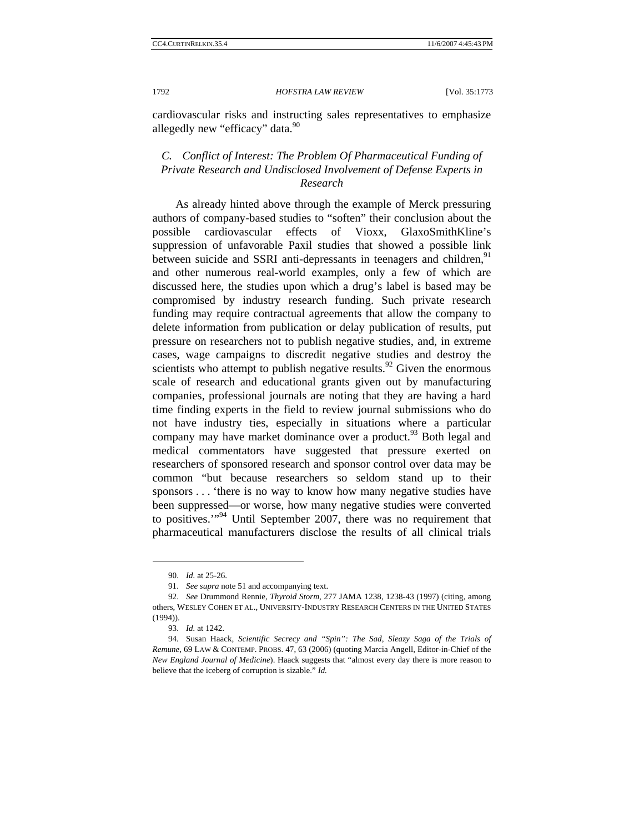cardiovascular risks and instructing sales representatives to emphasize allegedly new "efficacy" data.<sup>90</sup>

# *C. Conflict of Interest: The Problem Of Pharmaceutical Funding of Private Research and Undisclosed Involvement of Defense Experts in Research*

As already hinted above through the example of Merck pressuring authors of company-based studies to "soften" their conclusion about the possible cardiovascular effects of Vioxx, GlaxoSmithKline's suppression of unfavorable Paxil studies that showed a possible link between suicide and SSRI anti-depressants in teenagers and children,<sup>91</sup> and other numerous real-world examples, only a few of which are discussed here, the studies upon which a drug's label is based may be compromised by industry research funding. Such private research funding may require contractual agreements that allow the company to delete information from publication or delay publication of results, put pressure on researchers not to publish negative studies, and, in extreme cases, wage campaigns to discredit negative studies and destroy the scientists who attempt to publish negative results.<sup>92</sup> Given the enormous scale of research and educational grants given out by manufacturing companies, professional journals are noting that they are having a hard time finding experts in the field to review journal submissions who do not have industry ties, especially in situations where a particular company may have market dominance over a product. <sup>93</sup> Both legal and medical commentators have suggested that pressure exerted on researchers of sponsored research and sponsor control over data may be common "but because researchers so seldom stand up to their sponsors . . . 'there is no way to know how many negative studies have been suppressed—or worse, how many negative studies were converted to positives.'"94 Until September 2007, there was no requirement that pharmaceutical manufacturers disclose the results of all clinical trials

<sup>90.</sup> *Id.* at 25-26.

 <sup>91.</sup> *See supra* note 51 and accompanying text.

<sup>92.</sup> *See* Drummond Rennie, *Thyroid Storm*, 277 JAMA 1238, 1238-43 (1997) (citing, among others, WESLEY COHEN ET AL., UNIVERSITY-INDUSTRY RESEARCH CENTERS IN THE UNITED STATES (1994)).

<sup>93.</sup> *Id.* at 1242.

 <sup>94.</sup> Susan Haack, *Scientific Secrecy and "Spin": The Sad, Sleazy Saga of the Trials of Remune*, 69 LAW & CONTEMP. PROBS. 47, 63 (2006) (quoting Marcia Angell, Editor-in-Chief of the *New England Journal of Medicine*). Haack suggests that "almost every day there is more reason to believe that the iceberg of corruption is sizable." *Id.*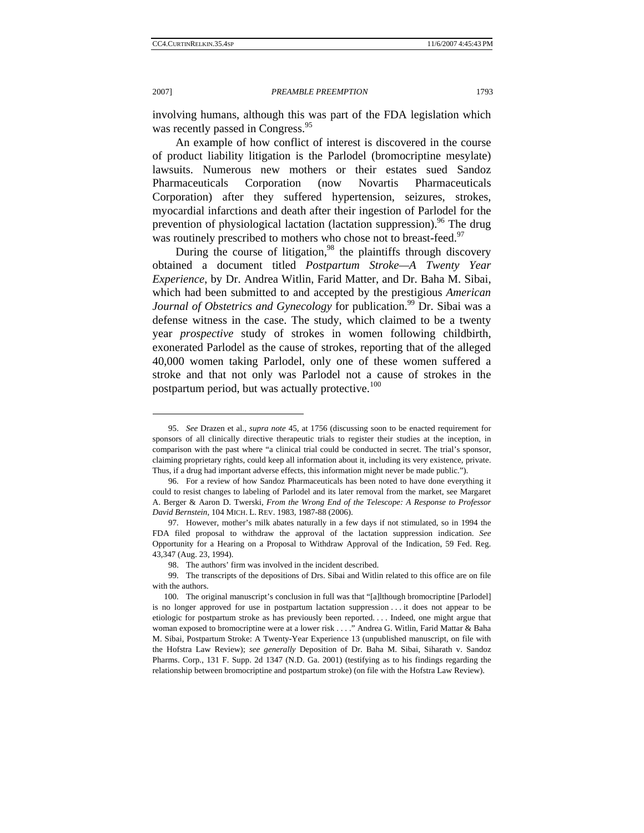#### 2007] *PREAMBLE PREEMPTION* 1793

involving humans, although this was part of the FDA legislation which was recently passed in Congress.<sup>95</sup>

An example of how conflict of interest is discovered in the course of product liability litigation is the Parlodel (bromocriptine mesylate) lawsuits. Numerous new mothers or their estates sued Sandoz Pharmaceuticals Corporation (now Novartis Pharmaceuticals Corporation) after they suffered hypertension, seizures, strokes, myocardial infarctions and death after their ingestion of Parlodel for the prevention of physiological lactation (lactation suppression).<sup>96</sup> The drug was routinely prescribed to mothers who chose not to breast-feed.<sup>97</sup>

During the course of litigation,  $98$  the plaintiffs through discovery obtained a document titled *Postpartum Stroke—A Twenty Year Experience*, by Dr. Andrea Witlin, Farid Matter, and Dr. Baha M. Sibai, which had been submitted to and accepted by the prestigious *American Journal of Obstetrics and Gynecology* for publication.<sup>99</sup> Dr. Sibai was a defense witness in the case. The study, which claimed to be a twenty year *prospective* study of strokes in women following childbirth, exonerated Parlodel as the cause of strokes, reporting that of the alleged 40,000 women taking Parlodel, only one of these women suffered a stroke and that not only was Parlodel not a cause of strokes in the postpartum period, but was actually protective.<sup>100</sup>

 <sup>95.</sup> *See* Drazen et al., *supra note* 45, at 1756 (discussing soon to be enacted requirement for sponsors of all clinically directive therapeutic trials to register their studies at the inception, in comparison with the past where "a clinical trial could be conducted in secret. The trial's sponsor, claiming proprietary rights, could keep all information about it, including its very existence, private. Thus, if a drug had important adverse effects, this information might never be made public.").

 <sup>96.</sup> For a review of how Sandoz Pharmaceuticals has been noted to have done everything it could to resist changes to labeling of Parlodel and its later removal from the market, see Margaret A. Berger & Aaron D. Twerski, *From the Wrong End of the Telescope: A Response to Professor David Bernstein*, 104 MICH. L. REV. 1983, 1987-88 (2006).

 <sup>97.</sup> However, mother's milk abates naturally in a few days if not stimulated, so in 1994 the FDA filed proposal to withdraw the approval of the lactation suppression indication. *See*  Opportunity for a Hearing on a Proposal to Withdraw Approval of the Indication, 59 Fed. Reg. 43,347 (Aug. 23, 1994).

 <sup>98.</sup> The authors' firm was involved in the incident described.

 <sup>99.</sup> The transcripts of the depositions of Drs. Sibai and Witlin related to this office are on file with the authors.

 <sup>100.</sup> The original manuscript's conclusion in full was that "[a]lthough bromocriptine [Parlodel] is no longer approved for use in postpartum lactation suppression . . . it does not appear to be etiologic for postpartum stroke as has previously been reported. . . . Indeed, one might argue that woman exposed to bromocriptine were at a lower risk . . . ." Andrea G. Witlin, Farid Mattar & Baha M. Sibai, Postpartum Stroke: A Twenty-Year Experience 13 (unpublished manuscript, on file with the Hofstra Law Review); *see generally* Deposition of Dr. Baha M. Sibai, Siharath v. Sandoz Pharms. Corp., 131 F. Supp. 2d 1347 (N.D. Ga. 2001) (testifying as to his findings regarding the relationship between bromocriptine and postpartum stroke) (on file with the Hofstra Law Review).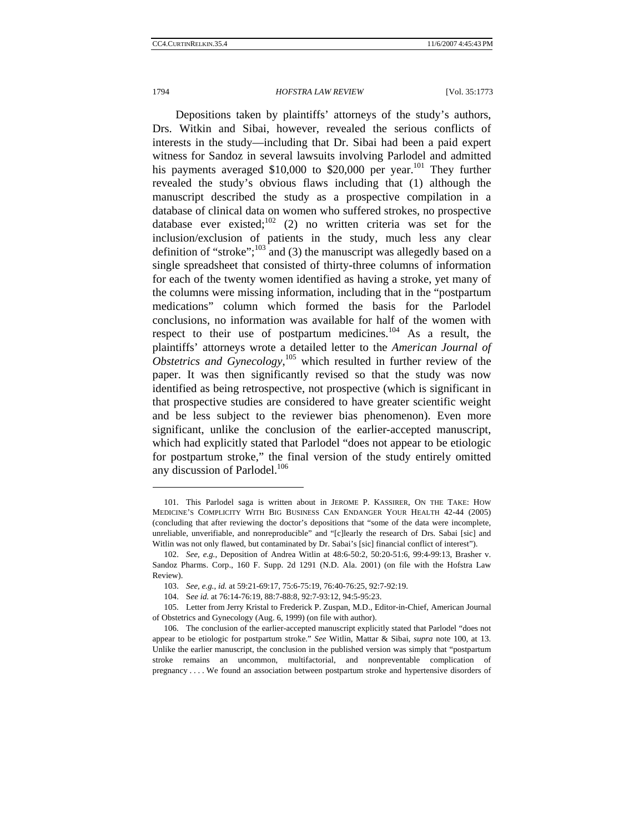### 1794 *HOFSTRA LAW REVIEW* [Vol. 35:1773

Depositions taken by plaintiffs' attorneys of the study's authors, Drs. Witkin and Sibai, however, revealed the serious conflicts of interests in the study—including that Dr. Sibai had been a paid expert witness for Sandoz in several lawsuits involving Parlodel and admitted his payments averaged \$10,000 to \$20,000 per year.<sup>101</sup> They further revealed the study's obvious flaws including that (1) although the manuscript described the study as a prospective compilation in a database of clinical data on women who suffered strokes, no prospective database ever existed;<sup>102</sup> (2) no written criteria was set for the inclusion/exclusion of patients in the study, much less any clear definition of "stroke"; $^{103}$  and (3) the manuscript was allegedly based on a single spreadsheet that consisted of thirty-three columns of information for each of the twenty women identified as having a stroke, yet many of the columns were missing information, including that in the "postpartum medications" column which formed the basis for the Parlodel conclusions, no information was available for half of the women with respect to their use of postpartum medicines.<sup>104</sup> As a result, the plaintiffs' attorneys wrote a detailed letter to the *American Journal of*  Obstetrics and Gynecology,<sup>105</sup> which resulted in further review of the paper. It was then significantly revised so that the study was now identified as being retrospective, not prospective (which is significant in that prospective studies are considered to have greater scientific weight and be less subject to the reviewer bias phenomenon). Even more significant, unlike the conclusion of the earlier-accepted manuscript, which had explicitly stated that Parlodel "does not appear to be etiologic for postpartum stroke," the final version of the study entirely omitted any discussion of Parlodel.<sup>106</sup>

 <sup>101.</sup> This Parlodel saga is written about in JEROME P. KASSIRER, ON THE TAKE: HOW MEDICINE'S COMPLICITY WITH BIG BUSINESS CAN ENDANGER YOUR HEALTH 42-44 (2005) (concluding that after reviewing the doctor's depositions that "some of the data were incomplete, unreliable, unverifiable, and nonreproducible" and "[c]learly the research of Drs. Sabai [sic] and Witlin was not only flawed, but contaminated by Dr. Sabai's [sic] financial conflict of interest").

<sup>102.</sup> *See, e.g.*, Deposition of Andrea Witlin at 48:6-50:2, 50:20-51:6, 99:4-99:13, Brasher v. Sandoz Pharms. Corp., 160 F. Supp. 2d 1291 (N.D. Ala. 2001) (on file with the Hofstra Law Review).

 <sup>103.</sup> *See, e.g.*, *id.* at 59:21-69:17, 75:6-75:19, 76:40-76:25, 92:7-92:19.

 <sup>104.</sup> S*ee id.* at 76:14-76:19, 88:7-88:8, 92:7-93:12, 94:5-95:23.

 <sup>105.</sup> Letter from Jerry Kristal to Frederick P. Zuspan, M.D., Editor-in-Chief, American Journal of Obstetrics and Gynecology (Aug. 6, 1999) (on file with author).

 <sup>106.</sup> The conclusion of the earlier-accepted manuscript explicitly stated that Parlodel "does not appear to be etiologic for postpartum stroke." *See* Witlin, Mattar & Sibai, *supra* note 100, at 13. Unlike the earlier manuscript, the conclusion in the published version was simply that "postpartum stroke remains an uncommon, multifactorial, and nonpreventable complication of pregnancy . . . . We found an association between postpartum stroke and hypertensive disorders of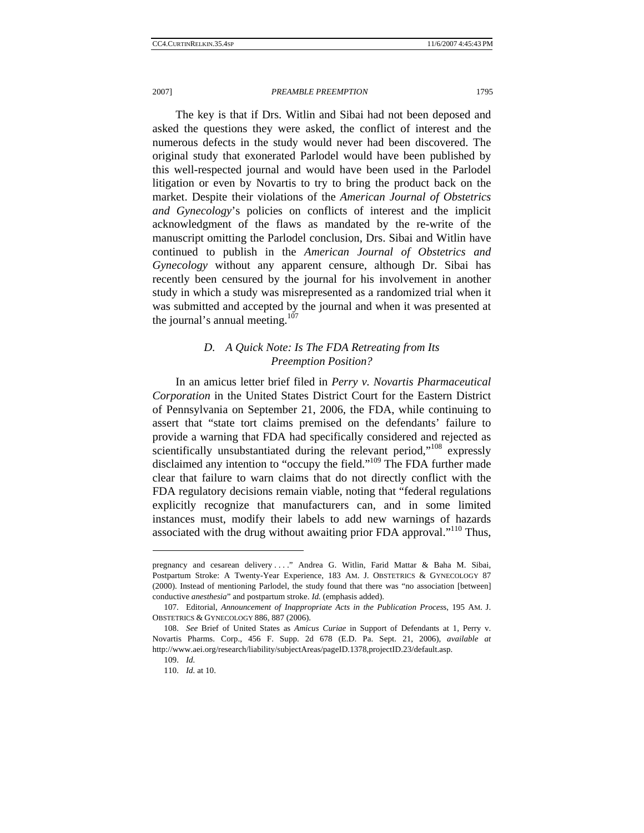The key is that if Drs. Witlin and Sibai had not been deposed and asked the questions they were asked, the conflict of interest and the numerous defects in the study would never had been discovered. The original study that exonerated Parlodel would have been published by this well-respected journal and would have been used in the Parlodel litigation or even by Novartis to try to bring the product back on the market. Despite their violations of the *American Journal of Obstetrics and Gynecology*'s policies on conflicts of interest and the implicit acknowledgment of the flaws as mandated by the re-write of the manuscript omitting the Parlodel conclusion, Drs. Sibai and Witlin have continued to publish in the *American Journal of Obstetrics and Gynecology* without any apparent censure, although Dr. Sibai has recently been censured by the journal for his involvement in another study in which a study was misrepresented as a randomized trial when it was submitted and accepted by the journal and when it was presented at the journal's annual meeting. $107$ 

# *D. A Quick Note: Is The FDA Retreating from Its Preemption Position?*

In an amicus letter brief filed in *Perry v. Novartis Pharmaceutical Corporation* in the United States District Court for the Eastern District of Pennsylvania on September 21, 2006, the FDA, while continuing to assert that "state tort claims premised on the defendants' failure to provide a warning that FDA had specifically considered and rejected as scientifically unsubstantiated during the relevant period,"<sup>108</sup> expressly disclaimed any intention to "occupy the field."109 The FDA further made clear that failure to warn claims that do not directly conflict with the FDA regulatory decisions remain viable, noting that "federal regulations explicitly recognize that manufacturers can, and in some limited instances must, modify their labels to add new warnings of hazards associated with the drug without awaiting prior FDA approval."110 Thus,

pregnancy and cesarean delivery . . . ." Andrea G. Witlin, Farid Mattar & Baha M. Sibai, Postpartum Stroke: A Twenty-Year Experience, 183 AM. J. OBSTETRICS & GYNECOLOGY 87 (2000). Instead of mentioning Parlodel, the study found that there was "no association [between] conductive *anesthesia*" and postpartum stroke. *Id.* (emphasis added).

 <sup>107.</sup> Editorial, *Announcement of Inappropriate Acts in the Publication Proces*s, 195 AM. J. OBSTETRICS & GYNECOLOGY 886, 887 (2006).

<sup>108.</sup> *See* Brief of United States as *Amicus Curiae* in Support of Defendants at 1, Perry v. Novartis Pharms. Corp., 456 F. Supp. 2d 678 (E.D. Pa. Sept. 21, 2006), *available at* http://www.aei.org/research/liability/subjectAreas/pageID.1378,projectID.23/default.asp.

<sup>109.</sup> *Id.* 

<sup>110.</sup> *Id.* at 10.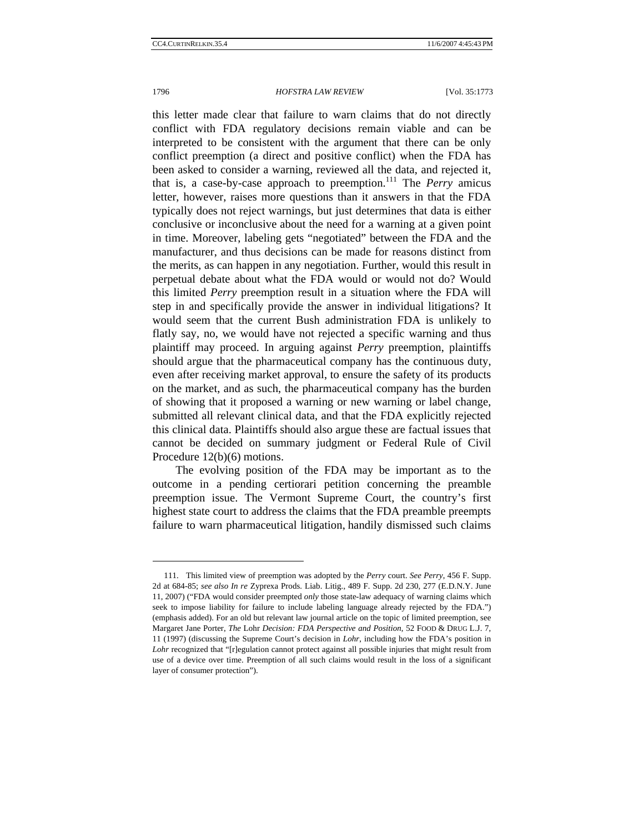#### 1796 *HOFSTRA LAW REVIEW* [Vol. 35:1773

this letter made clear that failure to warn claims that do not directly conflict with FDA regulatory decisions remain viable and can be interpreted to be consistent with the argument that there can be only conflict preemption (a direct and positive conflict) when the FDA has been asked to consider a warning, reviewed all the data, and rejected it, that is, a case-by-case approach to preemption.111 The *Perry* amicus letter, however, raises more questions than it answers in that the FDA typically does not reject warnings, but just determines that data is either conclusive or inconclusive about the need for a warning at a given point in time. Moreover, labeling gets "negotiated" between the FDA and the manufacturer, and thus decisions can be made for reasons distinct from the merits, as can happen in any negotiation. Further, would this result in perpetual debate about what the FDA would or would not do? Would this limited *Perry* preemption result in a situation where the FDA will step in and specifically provide the answer in individual litigations? It would seem that the current Bush administration FDA is unlikely to flatly say, no, we would have not rejected a specific warning and thus plaintiff may proceed. In arguing against *Perry* preemption, plaintiffs should argue that the pharmaceutical company has the continuous duty, even after receiving market approval, to ensure the safety of its products on the market, and as such, the pharmaceutical company has the burden of showing that it proposed a warning or new warning or label change, submitted all relevant clinical data, and that the FDA explicitly rejected this clinical data. Plaintiffs should also argue these are factual issues that cannot be decided on summary judgment or Federal Rule of Civil Procedure 12(b)(6) motions.

The evolving position of the FDA may be important as to the outcome in a pending certiorari petition concerning the preamble preemption issue. The Vermont Supreme Court, the country's first highest state court to address the claims that the FDA preamble preempts failure to warn pharmaceutical litigation, handily dismissed such claims

 <sup>111.</sup> This limited view of preemption was adopted by the *Perry* court. *See Perry*, 456 F. Supp. 2d at 684-85; *see also In re* Zyprexa Prods. Liab. Litig., 489 F. Supp. 2d 230, 277 (E.D.N.Y. June 11, 2007) ("FDA would consider preempted *only* those state-law adequacy of warning claims which seek to impose liability for failure to include labeling language already rejected by the FDA.") (emphasis added). For an old but relevant law journal article on the topic of limited preemption, see Margaret Jane Porter, *The* Lohr *Decision: FDA Perspective and Position*, 52 FOOD & DRUG L.J. 7, 11 (1997) (discussing the Supreme Court's decision in *Lohr*, including how the FDA's position in *Lohr* recognized that "[r]egulation cannot protect against all possible injuries that might result from use of a device over time. Preemption of all such claims would result in the loss of a significant layer of consumer protection").